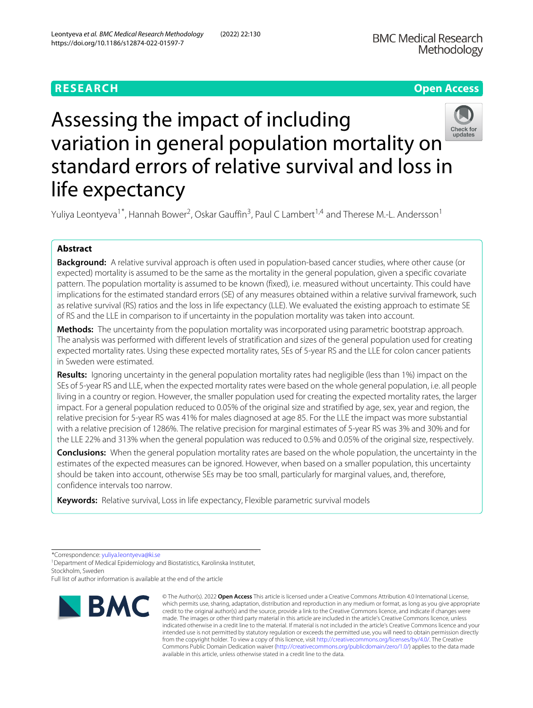# **RESEARCH Open Access**

# Assessing the impact of including Check for<br>updates variation in general population mortality on standard errors of relative survival and loss in life expectancy

Yuliya Leontyeva<sup>1\*</sup>, Hannah Bower<sup>2</sup>, Oskar Gauffin<sup>3</sup>, Paul C Lambert<sup>1,4</sup> and Therese M.-L. Andersson<sup>1</sup>

# **Abstract**

**Background:** A relative survival approach is often used in population-based cancer studies, where other cause (or expected) mortality is assumed to be the same as the mortality in the general population, given a specific covariate pattern. The population mortality is assumed to be known (fixed), i.e. measured without uncertainty. This could have implications for the estimated standard errors (SE) of any measures obtained within a relative survival framework, such as relative survival (RS) ratios and the loss in life expectancy (LLE). We evaluated the existing approach to estimate SE of RS and the LLE in comparison to if uncertainty in the population mortality was taken into account.

**Methods:** The uncertainty from the population mortality was incorporated using parametric bootstrap approach. The analysis was performed with different levels of stratification and sizes of the general population used for creating expected mortality rates. Using these expected mortality rates, SEs of 5-year RS and the LLE for colon cancer patients in Sweden were estimated.

**Results:** Ignoring uncertainty in the general population mortality rates had negligible (less than 1%) impact on the SEs of 5-year RS and LLE, when the expected mortality rates were based on the whole general population, i.e. all people living in a country or region. However, the smaller population used for creating the expected mortality rates, the larger impact. For a general population reduced to 0.05% of the original size and stratified by age, sex, year and region, the relative precision for 5-year RS was 41% for males diagnosed at age 85. For the LLE the impact was more substantial with a relative precision of 1286%. The relative precision for marginal estimates of 5-year RS was 3% and 30% and for the LLE 22% and 313% when the general population was reduced to 0.5% and 0.05% of the original size, respectively.

**Conclusions:** When the general population mortality rates are based on the whole population, the uncertainty in the estimates of the expected measures can be ignored. However, when based on a smaller population, this uncertainty should be taken into account, otherwise SEs may be too small, particularly for marginal values, and, therefore, confidence intervals too narrow.

**Keywords:** Relative survival, Loss in life expectancy, Flexible parametric survival models

Full list of author information is available at the end of the article



<sup>©</sup> The Author(s). 2022 **Open Access** This article is licensed under a Creative Commons Attribution 4.0 International License, which permits use, sharing, adaptation, distribution and reproduction in any medium or format, as long as you give appropriate credit to the original author(s) and the source, provide a link to the Creative Commons licence, and indicate if changes were made. The images or other third party material in this article are included in the article's Creative Commons licence, unless indicated otherwise in a credit line to the material. If material is not included in the article's Creative Commons licence and your intended use is not permitted by statutory regulation or exceeds the permitted use, you will need to obtain permission directly from the copyright holder. To view a copy of this licence, visit [http://creativecommons.org/licenses/by/4.0/.](http://creativecommons.org/licenses/by/4.0/) The Creative Commons Public Domain Dedication waiver [\(http://creativecommons.org/publicdomain/zero/1.0/\)](http://creativecommons.org/publicdomain/zero/1.0/) applies to the data made available in this article, unless otherwise stated in a credit line to the data.

<sup>\*</sup>Correspondence: [yuliya.leontyeva@ki.se](mailto: yuliya.leontyeva@ki.se)

<sup>&</sup>lt;sup>1</sup> Department of Medical Epidemiology and Biostatistics, Karolinska Institutet, Stockholm, Sweden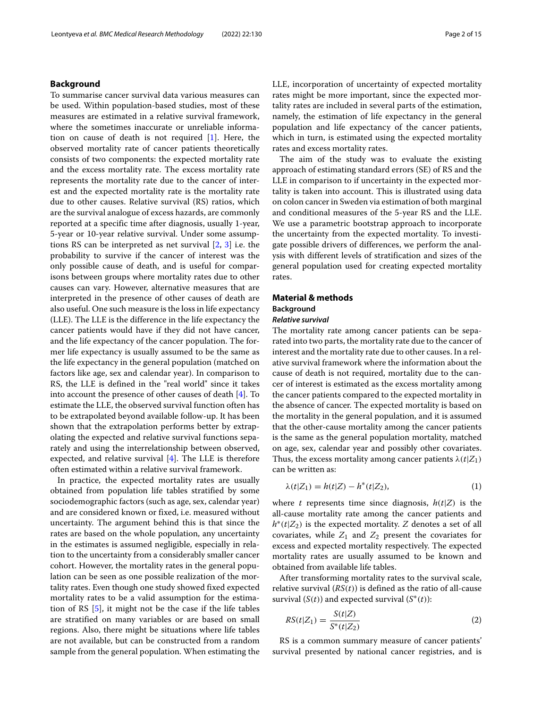# **Background**

To summarise cancer survival data various measures can be used. Within population-based studies, most of these measures are estimated in a relative survival framework, where the sometimes inaccurate or unreliable information on cause of death is not required [\[1\]](#page-13-0). Here, the observed mortality rate of cancer patients theoretically consists of two components: the expected mortality rate and the excess mortality rate. The excess mortality rate represents the mortality rate due to the cancer of interest and the expected mortality rate is the mortality rate due to other causes. Relative survival (RS) ratios, which are the survival analogue of excess hazards, are commonly reported at a specific time after diagnosis, usually 1-year, 5-year or 10-year relative survival. Under some assumptions RS can be interpreted as net survival [\[2,](#page-13-1) [3\]](#page-13-2) i.e. the probability to survive if the cancer of interest was the only possible cause of death, and is useful for comparisons between groups where mortality rates due to other causes can vary. However, alternative measures that are interpreted in the presence of other causes of death are also useful. One such measure is the loss in life expectancy (LLE). The LLE is the difference in the life expectancy the cancer patients would have if they did not have cancer, and the life expectancy of the cancer population. The former life expectancy is usually assumed to be the same as the life expectancy in the general population (matched on factors like age, sex and calendar year). In comparison to RS, the LLE is defined in the "real world" since it takes into account the presence of other causes of death [\[4\]](#page-13-3). To estimate the LLE, the observed survival function often has to be extrapolated beyond available follow-up. It has been shown that the extrapolation performs better by extrapolating the expected and relative survival functions separately and using the interrelationship between observed, expected, and relative survival [\[4\]](#page-13-3). The LLE is therefore often estimated within a relative survival framework.

In practice, the expected mortality rates are usually obtained from population life tables stratified by some sociodemographic factors (such as age, sex, calendar year) and are considered known or fixed, i.e. measured without uncertainty. The argument behind this is that since the rates are based on the whole population, any uncertainty in the estimates is assumed negligible, especially in relation to the uncertainty from a considerably smaller cancer cohort. However, the mortality rates in the general population can be seen as one possible realization of the mortality rates. Even though one study showed fixed expected mortality rates to be a valid assumption for the estimation of RS [\[5\]](#page-13-4), it might not be the case if the life tables are stratified on many variables or are based on small regions. Also, there might be situations where life tables are not available, but can be constructed from a random sample from the general population. When estimating the LLE, incorporation of uncertainty of expected mortality rates might be more important, since the expected mortality rates are included in several parts of the estimation, namely, the estimation of life expectancy in the general population and life expectancy of the cancer patients, which in turn, is estimated using the expected mortality rates and excess mortality rates.

The aim of the study was to evaluate the existing approach of estimating standard errors (SE) of RS and the LLE in comparison to if uncertainty in the expected mortality is taken into account. This is illustrated using data on colon cancer in Sweden via estimation of both marginal and conditional measures of the 5-year RS and the LLE. We use a parametric bootstrap approach to incorporate the uncertainty from the expected mortality. To investigate possible drivers of differences, we perform the analysis with different levels of stratification and sizes of the general population used for creating expected mortality rates.

# **Material & methods Background**

# *Relative survival*

The mortality rate among cancer patients can be separated into two parts, the mortality rate due to the cancer of interest and the mortality rate due to other causes. In a relative survival framework where the information about the cause of death is not required, mortality due to the cancer of interest is estimated as the excess mortality among the cancer patients compared to the expected mortality in the absence of cancer. The expected mortality is based on the mortality in the general population, and it is assumed that the other-cause mortality among the cancer patients is the same as the general population mortality, matched on age, sex, calendar year and possibly other covariates. Thus, the excess mortality among cancer patients  $\lambda(t|Z_1)$ can be written as:

$$
\lambda(t|Z_1) = h(t|Z) - h^*(t|Z_2),\tag{1}
$$

where *t* represents time since diagnosis,  $h(t|Z)$  is the all-cause mortality rate among the cancer patients and  $h^*(t|Z_2)$  is the expected mortality. *Z* denotes a set of all covariates, while  $Z_1$  and  $Z_2$  present the covariates for excess and expected mortality respectively. The expected mortality rates are usually assumed to be known and obtained from available life tables.

After transforming mortality rates to the survival scale, relative survival (*RS*(*t*)) is defined as the ratio of all-cause survival  $(S(t))$  and expected survival  $(S^*(t))$ :

$$
RS(t|Z_1) = \frac{S(t|Z)}{S^*(t|Z_2)}
$$
\n(2)

RS is a common summary measure of cancer patients' survival presented by national cancer registries, and is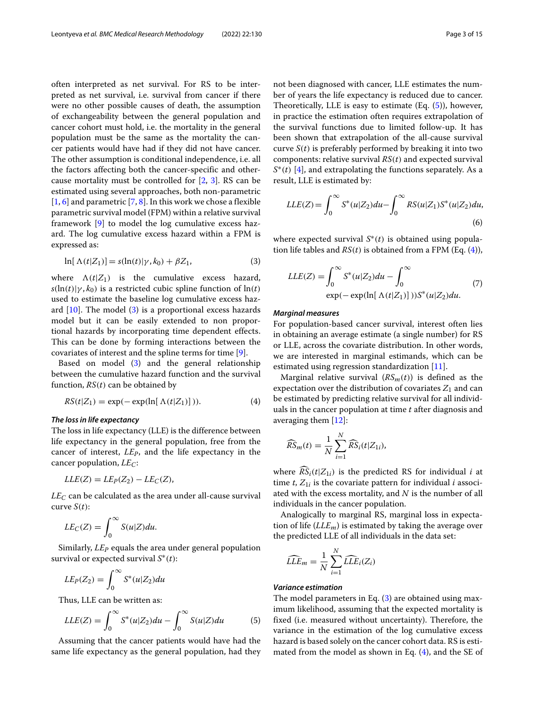often interpreted as net survival. For RS to be interpreted as net survival, i.e. survival from cancer if there were no other possible causes of death, the assumption of exchangeability between the general population and cancer cohort must hold, i.e. the mortality in the general population must be the same as the mortality the cancer patients would have had if they did not have cancer. The other assumption is conditional independence, i.e. all the factors affecting both the cancer-specific and othercause mortality must be controlled for  $[2, 3]$  $[2, 3]$  $[2, 3]$ . RS can be estimated using several approaches, both non-parametric  $[1, 6]$  $[1, 6]$  $[1, 6]$  and parametric  $[7, 8]$  $[7, 8]$  $[7, 8]$ . In this work we chose a flexible parametric survival model (FPM) within a relative survival framework [\[9\]](#page-14-1) to model the log cumulative excess hazard. The log cumulative excess hazard within a FPM is expressed as:

<span id="page-2-0"></span>
$$
\ln[\Lambda(t|Z_1)] = s(\ln(t)|\gamma, k_0) + \beta Z_1,\tag{3}
$$

where  $\Lambda(t|Z_1)$  is the cumulative excess hazard,  $s(\ln(t)|\gamma, k_0)$  is a restricted cubic spline function of  $\ln(t)$ used to estimate the baseline log cumulative excess hazard  $[10]$ . The model  $(3)$  is a proportional excess hazards model but it can be easily extended to non proportional hazards by incorporating time dependent effects. This can be done by forming interactions between the covariates of interest and the spline terms for time [\[9\]](#page-14-1).

Based on model [\(3\)](#page-2-0) and the general relationship between the cumulative hazard function and the survival function, *RS*(*t*) can be obtained by

$$
RS(t|Z_1) = \exp(-\exp(\ln[\Lambda(t|Z_1)])). \tag{4}
$$

# *The loss in life expectancy*

The loss in life expectancy (LLE) is the difference between life expectancy in the general population, free from the cancer of interest, *LEP*, and the life expectancy in the cancer population, *LEC*:

$$
LLE(Z) = L E_P(Z_2) - L E_C(Z),
$$

 $LE_C$  can be calculated as the area under all-cause survival curve  $S(t)$ :

$$
LE_C(Z) = \int_0^\infty S(u|Z) du.
$$

Similarly, *LE<sub>P</sub>* equals the area under general population survival or expected survival *S*∗(*t*):

$$
LE_P(Z_2) = \int_0^\infty S^*(u|Z_2) du
$$

Thus, LLE can be written as:

<span id="page-2-1"></span>
$$
LLE(Z) = \int_0^\infty S^*(u|Z_2) du - \int_0^\infty S(u|Z) du \tag{5}
$$

Assuming that the cancer patients would have had the same life expectancy as the general population, had they not been diagnosed with cancer, LLE estimates the number of years the life expectancy is reduced due to cancer. Theoretically, LLE is easy to estimate (Eq. [\(5\)](#page-2-1)), however, in practice the estimation often requires extrapolation of the survival functions due to limited follow-up. It has been shown that extrapolation of the all-cause survival curve  $S(t)$  is preferably performed by breaking it into two components: relative survival *RS*(*t*) and expected survival *S*∗(*t*) [\[4\]](#page-13-3), and extrapolating the functions separately. As a result, LLE is estimated by:

$$
LLE(Z) = \int_0^\infty S^*(u|Z_2) du - \int_0^\infty RS(u|Z_1)S^*(u|Z_2) du,
$$
\n(6)

where expected survival *S*∗(*t*) is obtained using population life tables and *RS*(*t*) is obtained from a FPM (Eq. [\(4\)](#page-2-2)),

$$
LLE(Z) = \int_0^\infty S^*(u|Z_2) du - \int_0^\infty
$$
  
exp(- exp(ln[ $\Lambda(t|Z_1)$ ]) $S^*(u|Z_2) du.$  (7)

# *Marginal measures*

For population-based cancer survival, interest often lies in obtaining an average estimate (a single number) for RS or LLE, across the covariate distribution. In other words, we are interested in marginal estimands, which can be estimated using regression standardization [\[11\]](#page-14-3).

<span id="page-2-2"></span>Marginal relative survival  $(RS_m(t))$  is defined as the expectation over the distribution of covariates  $Z_1$  and can be estimated by predicting relative survival for all individuals in the cancer population at time *t* after diagnosis and averaging them [\[12\]](#page-14-4):

$$
\widehat{RS}_m(t) = \frac{1}{N} \sum_{i=1}^N \widehat{RS}_i(t|Z_{1i}),
$$

where  $\widehat{RS}_i(t|Z_1)$  is the predicted RS for individual *i* at time  $t$ ,  $Z_{1i}$  is the covariate pattern for individual *i* associated with the excess mortality, and *N* is the number of all individuals in the cancer population.

Analogically to marginal RS, marginal loss in expectation of life (*LLEm*) is estimated by taking the average over the predicted LLE of all individuals in the data set:

$$
\widehat{LLE}_m = \frac{1}{N} \sum_{i=1}^N \widehat{LLE}_i(Z_i)
$$

# *Variance estimation*

The model parameters in Eq. [\(3\)](#page-2-0) are obtained using maximum likelihood, assuming that the expected mortality is fixed (i.e. measured without uncertainty). Therefore, the variance in the estimation of the log cumulative excess hazard is based solely on the cancer cohort data. RS is estimated from the model as shown in Eq.  $(4)$ , and the SE of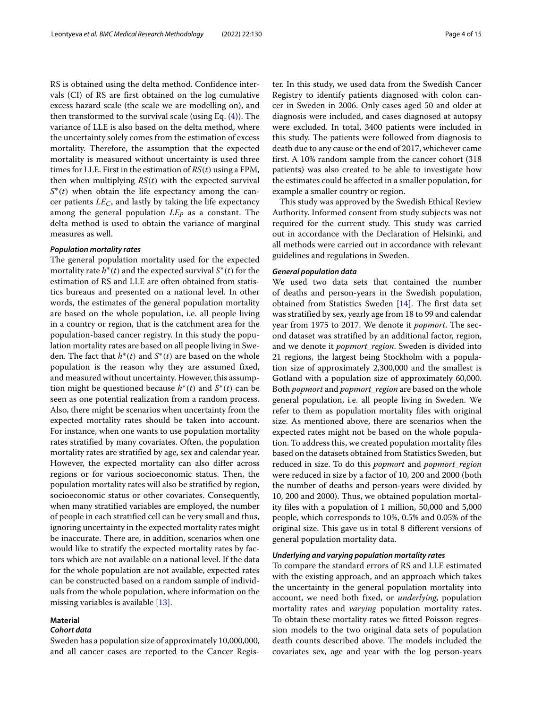RS is obtained using the delta method. Confidence intervals (CI) of RS are first obtained on the log cumulative excess hazard scale (the scale we are modelling on), and then transformed to the survival scale (using Eq.  $(4)$ ). The variance of LLE is also based on the delta method, where the uncertainty solely comes from the estimation of excess mortality. Therefore, the assumption that the expected mortality is measured without uncertainty is used three times for LLE. First in the estimation of *RS*(*t*) using a FPM, then when multiplying *RS*(*t*) with the expected survival *S*<sup>∗</sup>(*t*) when obtain the life expectancy among the cancer patients *LEC*, and lastly by taking the life expectancy among the general population *LEP* as a constant. The delta method is used to obtain the variance of marginal measures as well.

# *Population mortality rates*

The general population mortality used for the expected mortality rate  $h^*(t)$  and the expected survival  $S^*(t)$  for the estimation of RS and LLE are often obtained from statistics bureaus and presented on a national level. In other words, the estimates of the general population mortality are based on the whole population, i.e. all people living in a country or region, that is the catchment area for the population-based cancer registry. In this study the population mortality rates are based on all people living in Sweden. The fact that  $h^*(t)$  and  $S^*(t)$  are based on the whole population is the reason why they are assumed fixed, and measured without uncertainty. However, this assumption might be questioned because  $h^*(t)$  and  $S^*(t)$  can be seen as one potential realization from a random process. Also, there might be scenarios when uncertainty from the expected mortality rates should be taken into account. For instance, when one wants to use population mortality rates stratified by many covariates. Often, the population mortality rates are stratified by age, sex and calendar year. However, the expected mortality can also differ across regions or for various socioeconomic status. Then, the population mortality rates will also be stratified by region, socioeconomic status or other covariates. Consequently, when many stratified variables are employed, the number of people in each stratified cell can be very small and thus, ignoring uncertainty in the expected mortality rates might be inaccurate. There are, in addition, scenarios when one would like to stratify the expected mortality rates by factors which are not available on a national level. If the data for the whole population are not available, expected rates can be constructed based on a random sample of individuals from the whole population, where information on the missing variables is available [\[13\]](#page-14-5).

# **Material**

# *Cohort data*

Sweden has a population size of approximately 10,000,000, and all cancer cases are reported to the Cancer Register. In this study, we used data from the Swedish Cancer Registry to identify patients diagnosed with colon cancer in Sweden in 2006. Only cases aged 50 and older at diagnosis were included, and cases diagnosed at autopsy were excluded. In total, 3400 patients were included in this study. The patients were followed from diagnosis to death due to any cause or the end of 2017, whichever came first. A 10% random sample from the cancer cohort (318 patients) was also created to be able to investigate how the estimates could be affected in a smaller population, for example a smaller country or region.

This study was approved by the Swedish Ethical Review Authority. Informed consent from study subjects was not required for the current study. This study was carried out in accordance with the Declaration of Helsinki, and all methods were carried out in accordance with relevant guidelines and regulations in Sweden.

# *General population data*

We used two data sets that contained the number of deaths and person-years in the Swedish population, obtained from Statistics Sweden [\[14\]](#page-14-6). The first data set was stratified by sex, yearly age from 18 to 99 and calendar year from 1975 to 2017. We denote it *popmort*. The second dataset was stratified by an additional factor, region, and we denote it *popmort\_region*. Sweden is divided into 21 regions, the largest being Stockholm with a population size of approximately 2,300,000 and the smallest is Gotland with a population size of approximately 60,000. Both *popmort* and *popmort\_region* are based on the whole general population, i.e. all people living in Sweden. We refer to them as population mortality files with original size. As mentioned above, there are scenarios when the expected rates might not be based on the whole population. To address this, we created population mortality files based on the datasets obtained from Statistics Sweden, but reduced in size. To do this *popmort* and *popmort\_region* were reduced in size by a factor of 10, 200 and 2000 (both the number of deaths and person-years were divided by 10, 200 and 2000). Thus, we obtained population mortality files with a population of 1 million, 50,000 and 5,000 people, which corresponds to 10%, 0.5% and 0.05% of the original size. This gave us in total 8 different versions of general population mortality data.

# *Underlying and varying population mortality rates*

To compare the standard errors of RS and LLE estimated with the existing approach, and an approach which takes the uncertainty in the general population mortality into account, we need both fixed, or *underlying*, population mortality rates and *varying* population mortality rates. To obtain these mortality rates we fitted Poisson regression models to the two original data sets of population death counts described above. The models included the covariates sex, age and year with the log person-years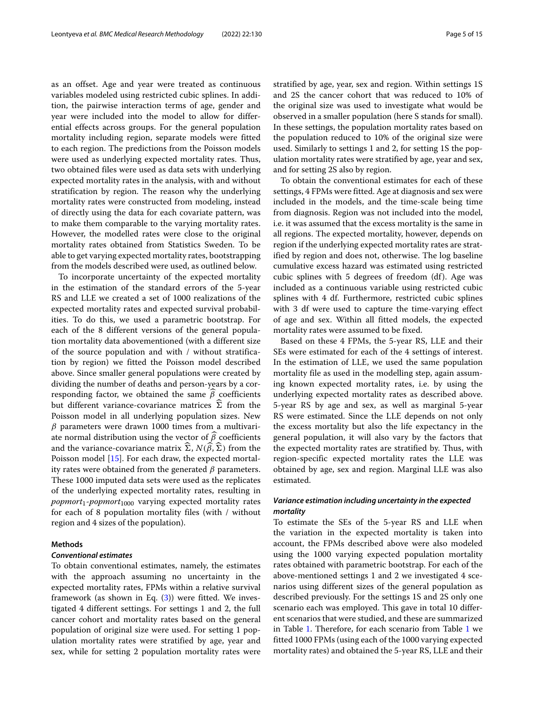as an offset. Age and year were treated as continuous variables modeled using restricted cubic splines. In addition, the pairwise interaction terms of age, gender and year were included into the model to allow for differential effects across groups. For the general population mortality including region, separate models were fitted to each region. The predictions from the Poisson models were used as underlying expected mortality rates. Thus, two obtained files were used as data sets with underlying expected mortality rates in the analysis, with and without stratification by region. The reason why the underlying mortality rates were constructed from modeling, instead of directly using the data for each covariate pattern, was to make them comparable to the varying mortality rates. However, the modelled rates were close to the original mortality rates obtained from Statistics Sweden. To be able to get varying expected mortality rates, bootstrapping from the models described were used, as outlined below.

To incorporate uncertainty of the expected mortality in the estimation of the standard errors of the 5-year RS and LLE we created a set of 1000 realizations of the expected mortality rates and expected survival probabilities. To do this, we used a parametric bootstrap. For each of the 8 different versions of the general population mortality data abovementioned (with a different size of the source population and with / without stratification by region) we fitted the Poisson model described above. Since smaller general populations were created by dividing the number of deaths and person-years by a corresponding factor, we obtained the same  $β$  coefficients but different variance-covariance matrices  $\widehat{\Sigma}$  from the Poisson model in all underlying population sizes. New  $\beta$  parameters were drawn 1000 times from a multivariate normal distribution using the vector of  $\beta$  coefficients and the variance-covariance matrix  $\Sigma$ ,  $N(\beta, \Sigma)$  from the Poisson model [\[15\]](#page-14-7). For each draw, the expected mortality rates were obtained from the generated  $\beta$  parameters. These 1000 imputed data sets were used as the replicates of the underlying expected mortality rates, resulting in *popmort*1-*popmort*<sup>1000</sup> varying expected mortality rates for each of 8 population mortality files (with / without region and 4 sizes of the population).

# **Methods**

# *Conventional estimates*

To obtain conventional estimates, namely, the estimates with the approach assuming no uncertainty in the expected mortality rates, FPMs within a relative survival framework (as shown in Eq.  $(3)$ ) were fitted. We investigated 4 different settings. For settings 1 and 2, the full cancer cohort and mortality rates based on the general population of original size were used. For setting 1 population mortality rates were stratified by age, year and sex, while for setting 2 population mortality rates were stratified by age, year, sex and region. Within settings 1S and 2S the cancer cohort that was reduced to 10% of the original size was used to investigate what would be observed in a smaller population (here S stands for small). In these settings, the population mortality rates based on the population reduced to 10% of the original size were used. Similarly to settings 1 and 2, for setting 1S the population mortality rates were stratified by age, year and sex, and for setting 2S also by region.

To obtain the conventional estimates for each of these settings, 4 FPMs were fitted. Age at diagnosis and sex were included in the models, and the time-scale being time from diagnosis. Region was not included into the model, i.e. it was assumed that the excess mortality is the same in all regions. The expected mortality, however, depends on region if the underlying expected mortality rates are stratified by region and does not, otherwise. The log baseline cumulative excess hazard was estimated using restricted cubic splines with 5 degrees of freedom (df). Age was included as a continuous variable using restricted cubic splines with 4 df. Furthermore, restricted cubic splines with 3 df were used to capture the time-varying effect of age and sex. Within all fitted models, the expected mortality rates were assumed to be fixed.

Based on these 4 FPMs, the 5-year RS, LLE and their SEs were estimated for each of the 4 settings of interest. In the estimation of LLE, we used the same population mortality file as used in the modelling step, again assuming known expected mortality rates, i.e. by using the underlying expected mortality rates as described above. 5-year RS by age and sex, as well as marginal 5-year RS were estimated. Since the LLE depends on not only the excess mortality but also the life expectancy in the general population, it will also vary by the factors that the expected mortality rates are stratified by. Thus, with region-specific expected mortality rates the LLE was obtained by age, sex and region. Marginal LLE was also estimated.

# *Variance estimation including uncertainty in the expected mortality*

To estimate the SEs of the 5-year RS and LLE when the variation in the expected mortality is taken into account, the FPMs described above were also modeled using the 1000 varying expected population mortality rates obtained with parametric bootstrap. For each of the above-mentioned settings 1 and 2 we investigated 4 scenarios using different sizes of the general population as described previously. For the settings 1S and 2S only one scenario each was employed. This gave in total 10 different scenarios that were studied, and these are summarized in Table [1.](#page-5-0) Therefore, for each scenario from Table [1](#page-5-0) we fitted 1000 FPMs (using each of the 1000 varying expected mortality rates) and obtained the 5-year RS, LLE and their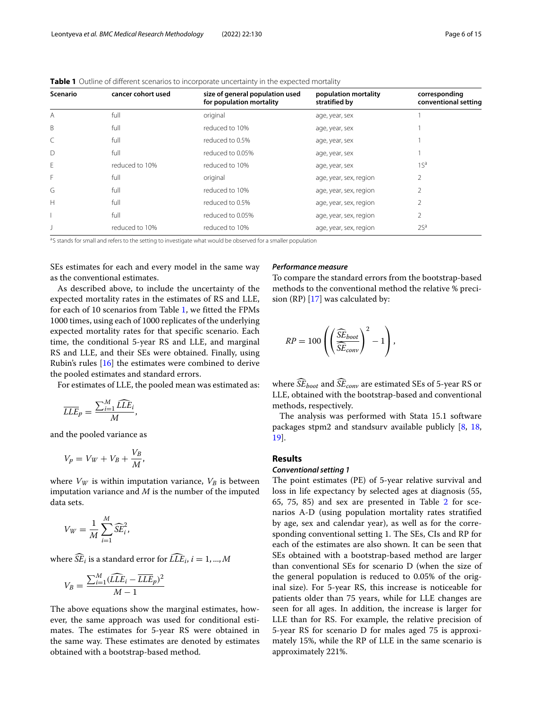| Scenario     | cancer cohort used | size of general population used<br>for population mortality | population mortality<br>stratified by | corresponding<br>conventional setting |
|--------------|--------------------|-------------------------------------------------------------|---------------------------------------|---------------------------------------|
| A            | full               | original                                                    | age, year, sex                        |                                       |
| B            | full               | reduced to 10%                                              | age, year, sex                        |                                       |
|              | full               | reduced to 0.5%                                             | age, year, sex                        |                                       |
| $\mathsf{D}$ | full               | reduced to 0.05%                                            | age, year, sex                        |                                       |
| F            | reduced to 10%     | reduced to 10%                                              | age, year, sex                        | 1S <sup>a</sup>                       |
| F            | full               | original                                                    | age, year, sex, region                | 2                                     |
| G            | full               | reduced to 10%                                              | age, year, sex, region                | 2                                     |
| Н            | full               | reduced to 0.5%                                             | age, year, sex, region                | 2                                     |
|              | full               | reduced to 0.05%                                            | age, year, sex, region                | 2                                     |
|              | reduced to 10%     | reduced to 10%                                              | age, year, sex, region                | 2S <sup>a</sup>                       |

<span id="page-5-0"></span>**Table 1** Outline of different scenarios to incorporate uncertainty in the expected mortality

<sup>a</sup>S stands for small and refers to the setting to investigate what would be observed for a smaller population

SEs estimates for each and every model in the same way as the conventional estimates.

As described above, to include the uncertainty of the expected mortality rates in the estimates of RS and LLE, for each of 10 scenarios from Table [1,](#page-5-0) we fitted the FPMs 1000 times, using each of 1000 replicates of the underlying expected mortality rates for that specific scenario. Each time, the conditional 5-year RS and LLE, and marginal RS and LLE, and their SEs were obtained. Finally, using Rubin's rules [\[16\]](#page-14-8) the estimates were combined to derive the pooled estimates and standard errors.

For estimates of LLE, the pooled mean was estimated as:

$$
\overline{LLE}_p = \frac{\sum_{i=1}^M \widehat{LLE}_i}{M},
$$

and the pooled variance as

$$
V_p = V_W + V_B + \frac{V_B}{M},
$$

where  $V_W$  is within imputation variance,  $V_B$  is between imputation variance and *M* is the number of the imputed data sets.

$$
V_W = \frac{1}{M} \sum_{i=1}^{M} \widehat{SE}_i^2,
$$

where  $\widehat{SE}_i$  is a standard error for  $\widehat{LLE}_i$ ,  $i = 1, ..., M$ 

$$
V_B = \frac{\sum_{i=1}^{M} (\widehat{LLE}_i - \overline{LLE}_p)^2}{M - 1}
$$

The above equations show the marginal estimates, however, the same approach was used for conditional estimates. The estimates for 5-year RS were obtained in the same way. These estimates are denoted by estimates obtained with a bootstrap-based method.

# *Performance measure*

To compare the standard errors from the bootstrap-based methods to the conventional method the relative % precision (RP) [\[17\]](#page-14-9) was calculated by:

$$
RP = 100 \left( \left( \frac{\widehat{SE}_{boot}}{\widehat{SE}_{conv}} \right)^2 - 1 \right),
$$

where  $\widehat{SE}_{boot}$  and  $\widehat{SE}_{conv}$  are estimated SEs of 5-year RS or LLE, obtained with the bootstrap-based and conventional methods, respectively.

The analysis was performed with Stata 15.1 software packages stpm2 and standsurv available publicly [\[8,](#page-14-0) [18,](#page-14-10) [19\]](#page-14-11).

# **Results**

# *Conventional setting 1*

The point estimates (PE) of 5-year relative survival and loss in life expectancy by selected ages at diagnosis (55, 65, 75, 85) and sex are presented in Table [2](#page-6-0) for scenarios A-D (using population mortality rates stratified by age, sex and calendar year), as well as for the corresponding conventional setting 1. The SEs, CIs and RP for each of the estimates are also shown. It can be seen that SEs obtained with a bootstrap-based method are larger than conventional SEs for scenario D (when the size of the general population is reduced to 0.05% of the original size). For 5-year RS, this increase is noticeable for patients older than 75 years, while for LLE changes are seen for all ages. In addition, the increase is larger for LLE than for RS. For example, the relative precision of 5-year RS for scenario D for males aged 75 is approximately 15%, while the RP of LLE in the same scenario is approximately 221%.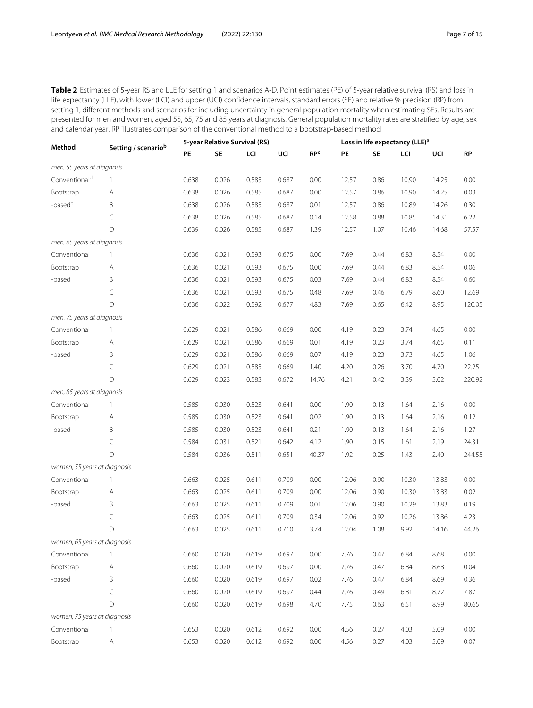<span id="page-6-0"></span>Table 2 Estimates of 5-year RS and LLE for setting 1 and scenarios A-D. Point estimates (PE) of 5-year relative survival (RS) and loss in life expectancy (LLE), with lower (LCI) and upper (UCI) confidence intervals, standard errors (SE) and relative % precision (RP) from setting 1, different methods and scenarios for including uncertainty in general population mortality when estimating SEs. Results are presented for men and women, aged 55, 65, 75 and 85 years at diagnosis. General population mortality rates are stratified by age, sex and calendar year. RP illustrates comparison of the conventional method to a bootstrap-based method

| <b>RPC</b><br><b>SE</b><br>PE<br>PE<br>LCI<br>UCI<br><b>SE</b><br>LCI<br>UCI<br><b>RP</b><br>men, 55 years at diagnosis<br>Conventional <sup>d</sup><br>0.638<br>0.026<br>0.585<br>0.687<br>12.57<br>0.86<br>10.90<br>14.25<br>0.00<br>0.00<br>1<br>Bootstrap<br>0.026<br>0.585<br>10.90<br>0.03<br>0.638<br>0.687<br>0.00<br>12.57<br>0.86<br>14.25<br>Α<br>-based <sup>e</sup><br>B<br>0.638<br>0.026<br>0.585<br>0.687<br>0.01<br>12.57<br>0.86<br>10.89<br>14.26<br>0.30<br>C<br>0.638<br>6.22<br>0.026<br>0.585<br>0.687<br>0.14<br>12.58<br>0.88<br>10.85<br>14.31<br>D<br>0.639<br>0.026<br>0.585<br>0.687<br>12.57<br>57.57<br>1.39<br>1.07<br>10.46<br>14.68<br>men, 65 years at diagnosis<br>Conventional<br>0.636<br>0.021<br>0.593<br>0.675<br>0.00<br>7.69<br>0.44<br>6.83<br>8.54<br>0.00<br>1<br>0.593<br>7.69<br>6.83<br>0.06<br>Bootstrap<br>0.636<br>0.021<br>0.675<br>0.00<br>0.44<br>8.54<br>Α<br>B<br>7.69<br>-based<br>0.636<br>0.021<br>0.593<br>0.675<br>0.03<br>0.44<br>6.83<br>8.54<br>0.60<br>C<br>0.636<br>0.021<br>0.593<br>0.675<br>0.48<br>7.69<br>0.46<br>6.79<br>8.60<br>12.69<br>D<br>0.636<br>0.022<br>0.592<br>0.677<br>7.69<br>0.65<br>8.95<br>4.83<br>6.42<br>men, 75 years at diagnosis<br>Conventional<br>0.629<br>0.021<br>0.586<br>0.669<br>0.00<br>4.19<br>0.23<br>3.74<br>4.65<br>0.00<br>1<br>0.586<br>3.74<br>0.11<br>Bootstrap<br>0.629<br>0.021<br>0.669<br>0.01<br>4.19<br>0.23<br>4.65<br>Α<br>B<br>0.629<br>0.021<br>0.586<br>4.19<br>-based<br>0.669<br>0.07<br>0.23<br>3.73<br>4.65<br>1.06<br>C<br>0.629<br>0.021<br>0.585<br>0.669<br>1.40<br>4.20<br>0.26<br>3.70<br>4.70<br>22.25<br>D<br>0.629<br>0.023<br>0.583<br>0.672<br>14.76<br>4.21<br>0.42<br>3.39<br>5.02 | Method | Setting / scenariob | 5-year Relative Survival (RS) |  | Loss in life expectancy (LLE) <sup>a</sup> |  |  |  |  |        |
|------------------------------------------------------------------------------------------------------------------------------------------------------------------------------------------------------------------------------------------------------------------------------------------------------------------------------------------------------------------------------------------------------------------------------------------------------------------------------------------------------------------------------------------------------------------------------------------------------------------------------------------------------------------------------------------------------------------------------------------------------------------------------------------------------------------------------------------------------------------------------------------------------------------------------------------------------------------------------------------------------------------------------------------------------------------------------------------------------------------------------------------------------------------------------------------------------------------------------------------------------------------------------------------------------------------------------------------------------------------------------------------------------------------------------------------------------------------------------------------------------------------------------------------------------------------------------------------------------------------------------------------------------------------------------------------------------------------------------|--------|---------------------|-------------------------------|--|--------------------------------------------|--|--|--|--|--------|
|                                                                                                                                                                                                                                                                                                                                                                                                                                                                                                                                                                                                                                                                                                                                                                                                                                                                                                                                                                                                                                                                                                                                                                                                                                                                                                                                                                                                                                                                                                                                                                                                                                                                                                                              |        |                     |                               |  |                                            |  |  |  |  |        |
|                                                                                                                                                                                                                                                                                                                                                                                                                                                                                                                                                                                                                                                                                                                                                                                                                                                                                                                                                                                                                                                                                                                                                                                                                                                                                                                                                                                                                                                                                                                                                                                                                                                                                                                              |        |                     |                               |  |                                            |  |  |  |  |        |
|                                                                                                                                                                                                                                                                                                                                                                                                                                                                                                                                                                                                                                                                                                                                                                                                                                                                                                                                                                                                                                                                                                                                                                                                                                                                                                                                                                                                                                                                                                                                                                                                                                                                                                                              |        |                     |                               |  |                                            |  |  |  |  |        |
|                                                                                                                                                                                                                                                                                                                                                                                                                                                                                                                                                                                                                                                                                                                                                                                                                                                                                                                                                                                                                                                                                                                                                                                                                                                                                                                                                                                                                                                                                                                                                                                                                                                                                                                              |        |                     |                               |  |                                            |  |  |  |  |        |
|                                                                                                                                                                                                                                                                                                                                                                                                                                                                                                                                                                                                                                                                                                                                                                                                                                                                                                                                                                                                                                                                                                                                                                                                                                                                                                                                                                                                                                                                                                                                                                                                                                                                                                                              |        |                     |                               |  |                                            |  |  |  |  |        |
|                                                                                                                                                                                                                                                                                                                                                                                                                                                                                                                                                                                                                                                                                                                                                                                                                                                                                                                                                                                                                                                                                                                                                                                                                                                                                                                                                                                                                                                                                                                                                                                                                                                                                                                              |        |                     |                               |  |                                            |  |  |  |  |        |
|                                                                                                                                                                                                                                                                                                                                                                                                                                                                                                                                                                                                                                                                                                                                                                                                                                                                                                                                                                                                                                                                                                                                                                                                                                                                                                                                                                                                                                                                                                                                                                                                                                                                                                                              |        |                     |                               |  |                                            |  |  |  |  |        |
|                                                                                                                                                                                                                                                                                                                                                                                                                                                                                                                                                                                                                                                                                                                                                                                                                                                                                                                                                                                                                                                                                                                                                                                                                                                                                                                                                                                                                                                                                                                                                                                                                                                                                                                              |        |                     |                               |  |                                            |  |  |  |  |        |
|                                                                                                                                                                                                                                                                                                                                                                                                                                                                                                                                                                                                                                                                                                                                                                                                                                                                                                                                                                                                                                                                                                                                                                                                                                                                                                                                                                                                                                                                                                                                                                                                                                                                                                                              |        |                     |                               |  |                                            |  |  |  |  |        |
|                                                                                                                                                                                                                                                                                                                                                                                                                                                                                                                                                                                                                                                                                                                                                                                                                                                                                                                                                                                                                                                                                                                                                                                                                                                                                                                                                                                                                                                                                                                                                                                                                                                                                                                              |        |                     |                               |  |                                            |  |  |  |  |        |
|                                                                                                                                                                                                                                                                                                                                                                                                                                                                                                                                                                                                                                                                                                                                                                                                                                                                                                                                                                                                                                                                                                                                                                                                                                                                                                                                                                                                                                                                                                                                                                                                                                                                                                                              |        |                     |                               |  |                                            |  |  |  |  |        |
|                                                                                                                                                                                                                                                                                                                                                                                                                                                                                                                                                                                                                                                                                                                                                                                                                                                                                                                                                                                                                                                                                                                                                                                                                                                                                                                                                                                                                                                                                                                                                                                                                                                                                                                              |        |                     |                               |  |                                            |  |  |  |  |        |
|                                                                                                                                                                                                                                                                                                                                                                                                                                                                                                                                                                                                                                                                                                                                                                                                                                                                                                                                                                                                                                                                                                                                                                                                                                                                                                                                                                                                                                                                                                                                                                                                                                                                                                                              |        |                     |                               |  |                                            |  |  |  |  | 120.05 |
|                                                                                                                                                                                                                                                                                                                                                                                                                                                                                                                                                                                                                                                                                                                                                                                                                                                                                                                                                                                                                                                                                                                                                                                                                                                                                                                                                                                                                                                                                                                                                                                                                                                                                                                              |        |                     |                               |  |                                            |  |  |  |  |        |
|                                                                                                                                                                                                                                                                                                                                                                                                                                                                                                                                                                                                                                                                                                                                                                                                                                                                                                                                                                                                                                                                                                                                                                                                                                                                                                                                                                                                                                                                                                                                                                                                                                                                                                                              |        |                     |                               |  |                                            |  |  |  |  |        |
|                                                                                                                                                                                                                                                                                                                                                                                                                                                                                                                                                                                                                                                                                                                                                                                                                                                                                                                                                                                                                                                                                                                                                                                                                                                                                                                                                                                                                                                                                                                                                                                                                                                                                                                              |        |                     |                               |  |                                            |  |  |  |  |        |
|                                                                                                                                                                                                                                                                                                                                                                                                                                                                                                                                                                                                                                                                                                                                                                                                                                                                                                                                                                                                                                                                                                                                                                                                                                                                                                                                                                                                                                                                                                                                                                                                                                                                                                                              |        |                     |                               |  |                                            |  |  |  |  |        |
|                                                                                                                                                                                                                                                                                                                                                                                                                                                                                                                                                                                                                                                                                                                                                                                                                                                                                                                                                                                                                                                                                                                                                                                                                                                                                                                                                                                                                                                                                                                                                                                                                                                                                                                              |        |                     |                               |  |                                            |  |  |  |  |        |
|                                                                                                                                                                                                                                                                                                                                                                                                                                                                                                                                                                                                                                                                                                                                                                                                                                                                                                                                                                                                                                                                                                                                                                                                                                                                                                                                                                                                                                                                                                                                                                                                                                                                                                                              |        |                     |                               |  |                                            |  |  |  |  | 220.92 |
| men, 85 years at diagnosis                                                                                                                                                                                                                                                                                                                                                                                                                                                                                                                                                                                                                                                                                                                                                                                                                                                                                                                                                                                                                                                                                                                                                                                                                                                                                                                                                                                                                                                                                                                                                                                                                                                                                                   |        |                     |                               |  |                                            |  |  |  |  |        |
| Conventional<br>0.585<br>0.030<br>0.523<br>0.641<br>0.00<br>1.90<br>1.64<br>2.16<br>0.00<br>1<br>0.13                                                                                                                                                                                                                                                                                                                                                                                                                                                                                                                                                                                                                                                                                                                                                                                                                                                                                                                                                                                                                                                                                                                                                                                                                                                                                                                                                                                                                                                                                                                                                                                                                        |        |                     |                               |  |                                            |  |  |  |  |        |
| Bootstrap<br>0.585<br>0.030<br>0.523<br>0.641<br>0.02<br>1.90<br>0.13<br>1.64<br>2.16<br>0.12<br>Α                                                                                                                                                                                                                                                                                                                                                                                                                                                                                                                                                                                                                                                                                                                                                                                                                                                                                                                                                                                                                                                                                                                                                                                                                                                                                                                                                                                                                                                                                                                                                                                                                           |        |                     |                               |  |                                            |  |  |  |  |        |
| B<br>0.585<br>0.523<br>-based<br>0.030<br>0.641<br>0.21<br>1.90<br>0.13<br>1.64<br>2.16<br>1.27                                                                                                                                                                                                                                                                                                                                                                                                                                                                                                                                                                                                                                                                                                                                                                                                                                                                                                                                                                                                                                                                                                                                                                                                                                                                                                                                                                                                                                                                                                                                                                                                                              |        |                     |                               |  |                                            |  |  |  |  |        |
| C<br>0.584<br>0.031<br>0.521<br>0.642<br>4.12<br>1.90<br>0.15<br>1.61<br>2.19<br>24.31                                                                                                                                                                                                                                                                                                                                                                                                                                                                                                                                                                                                                                                                                                                                                                                                                                                                                                                                                                                                                                                                                                                                                                                                                                                                                                                                                                                                                                                                                                                                                                                                                                       |        |                     |                               |  |                                            |  |  |  |  |        |
| D<br>0.584<br>0.511<br>0.651<br>1.92<br>0.25<br>0.036<br>40.37<br>1.43<br>2.40                                                                                                                                                                                                                                                                                                                                                                                                                                                                                                                                                                                                                                                                                                                                                                                                                                                                                                                                                                                                                                                                                                                                                                                                                                                                                                                                                                                                                                                                                                                                                                                                                                               |        |                     |                               |  |                                            |  |  |  |  | 244.55 |
| women, 55 years at diagnosis                                                                                                                                                                                                                                                                                                                                                                                                                                                                                                                                                                                                                                                                                                                                                                                                                                                                                                                                                                                                                                                                                                                                                                                                                                                                                                                                                                                                                                                                                                                                                                                                                                                                                                 |        |                     |                               |  |                                            |  |  |  |  |        |
| 13.83<br>Conventional<br>0.663<br>0.025<br>0.611<br>0.709<br>0.00<br>12.06<br>0.90<br>10.30<br>0.00<br>1                                                                                                                                                                                                                                                                                                                                                                                                                                                                                                                                                                                                                                                                                                                                                                                                                                                                                                                                                                                                                                                                                                                                                                                                                                                                                                                                                                                                                                                                                                                                                                                                                     |        |                     |                               |  |                                            |  |  |  |  |        |
| Bootstrap<br>0.663<br>0.025<br>0.611<br>0.709<br>0.00<br>12.06<br>0.90<br>10.30<br>13.83<br>0.02<br>Α                                                                                                                                                                                                                                                                                                                                                                                                                                                                                                                                                                                                                                                                                                                                                                                                                                                                                                                                                                                                                                                                                                                                                                                                                                                                                                                                                                                                                                                                                                                                                                                                                        |        |                     |                               |  |                                            |  |  |  |  |        |
| B<br>0.663<br>0.025<br>0.611<br>10.29<br>-based<br>0.709<br>0.01<br>12.06<br>0.90<br>13.83<br>0.19                                                                                                                                                                                                                                                                                                                                                                                                                                                                                                                                                                                                                                                                                                                                                                                                                                                                                                                                                                                                                                                                                                                                                                                                                                                                                                                                                                                                                                                                                                                                                                                                                           |        |                     |                               |  |                                            |  |  |  |  |        |
| $\subset$<br>0.663<br>0.025<br>0.611<br>0.709<br>0.34<br>12.06<br>0.92<br>10.26<br>13.86<br>4.23                                                                                                                                                                                                                                                                                                                                                                                                                                                                                                                                                                                                                                                                                                                                                                                                                                                                                                                                                                                                                                                                                                                                                                                                                                                                                                                                                                                                                                                                                                                                                                                                                             |        |                     |                               |  |                                            |  |  |  |  |        |
| D<br>0.663<br>0.025<br>0.611<br>12.04<br>9.92<br>44.26<br>0.710<br>3.74<br>1.08<br>14.16                                                                                                                                                                                                                                                                                                                                                                                                                                                                                                                                                                                                                                                                                                                                                                                                                                                                                                                                                                                                                                                                                                                                                                                                                                                                                                                                                                                                                                                                                                                                                                                                                                     |        |                     |                               |  |                                            |  |  |  |  |        |
| women, 65 years at diagnosis                                                                                                                                                                                                                                                                                                                                                                                                                                                                                                                                                                                                                                                                                                                                                                                                                                                                                                                                                                                                                                                                                                                                                                                                                                                                                                                                                                                                                                                                                                                                                                                                                                                                                                 |        |                     |                               |  |                                            |  |  |  |  |        |
| Conventional<br>0.660<br>0.020<br>0.619<br>0.697<br>0.00<br>7.76<br>6.84<br>0.00<br>0.47<br>8.68<br>1                                                                                                                                                                                                                                                                                                                                                                                                                                                                                                                                                                                                                                                                                                                                                                                                                                                                                                                                                                                                                                                                                                                                                                                                                                                                                                                                                                                                                                                                                                                                                                                                                        |        |                     |                               |  |                                            |  |  |  |  |        |
| 0.660<br>0.020<br>0.619<br>0.697<br>0.00<br>7.76<br>6.84<br>0.04<br>Bootstrap<br>Α<br>0.47<br>8.68                                                                                                                                                                                                                                                                                                                                                                                                                                                                                                                                                                                                                                                                                                                                                                                                                                                                                                                                                                                                                                                                                                                                                                                                                                                                                                                                                                                                                                                                                                                                                                                                                           |        |                     |                               |  |                                            |  |  |  |  |        |
| -based<br>B<br>0.660<br>0.020<br>0.619<br>0.697<br>7.76<br>6.84<br>0.36<br>0.02<br>0.47<br>8.69                                                                                                                                                                                                                                                                                                                                                                                                                                                                                                                                                                                                                                                                                                                                                                                                                                                                                                                                                                                                                                                                                                                                                                                                                                                                                                                                                                                                                                                                                                                                                                                                                              |        |                     |                               |  |                                            |  |  |  |  |        |
| $\subset$<br>0.660<br>0.020<br>0.619<br>0.697<br>7.76<br>0.49<br>6.81<br>8.72<br>7.87<br>0.44                                                                                                                                                                                                                                                                                                                                                                                                                                                                                                                                                                                                                                                                                                                                                                                                                                                                                                                                                                                                                                                                                                                                                                                                                                                                                                                                                                                                                                                                                                                                                                                                                                |        |                     |                               |  |                                            |  |  |  |  |        |
| $\mathsf D$<br>0.660<br>0.020<br>0.619<br>0.698<br>4.70<br>7.75<br>0.63<br>6.51<br>8.99<br>80.65                                                                                                                                                                                                                                                                                                                                                                                                                                                                                                                                                                                                                                                                                                                                                                                                                                                                                                                                                                                                                                                                                                                                                                                                                                                                                                                                                                                                                                                                                                                                                                                                                             |        |                     |                               |  |                                            |  |  |  |  |        |
| women, 75 years at diagnosis                                                                                                                                                                                                                                                                                                                                                                                                                                                                                                                                                                                                                                                                                                                                                                                                                                                                                                                                                                                                                                                                                                                                                                                                                                                                                                                                                                                                                                                                                                                                                                                                                                                                                                 |        |                     |                               |  |                                            |  |  |  |  |        |
| Conventional<br>0.653<br>0.020<br>0.27<br>0.00<br>0.612<br>0.692<br>0.00<br>4.56<br>4.03<br>5.09<br>1                                                                                                                                                                                                                                                                                                                                                                                                                                                                                                                                                                                                                                                                                                                                                                                                                                                                                                                                                                                                                                                                                                                                                                                                                                                                                                                                                                                                                                                                                                                                                                                                                        |        |                     |                               |  |                                            |  |  |  |  |        |
| Bootstrap<br>0.653<br>0.020<br>0.612<br>0.692<br>0.00<br>4.56<br>0.27<br>4.03<br>5.09<br>0.07<br>Α                                                                                                                                                                                                                                                                                                                                                                                                                                                                                                                                                                                                                                                                                                                                                                                                                                                                                                                                                                                                                                                                                                                                                                                                                                                                                                                                                                                                                                                                                                                                                                                                                           |        |                     |                               |  |                                            |  |  |  |  |        |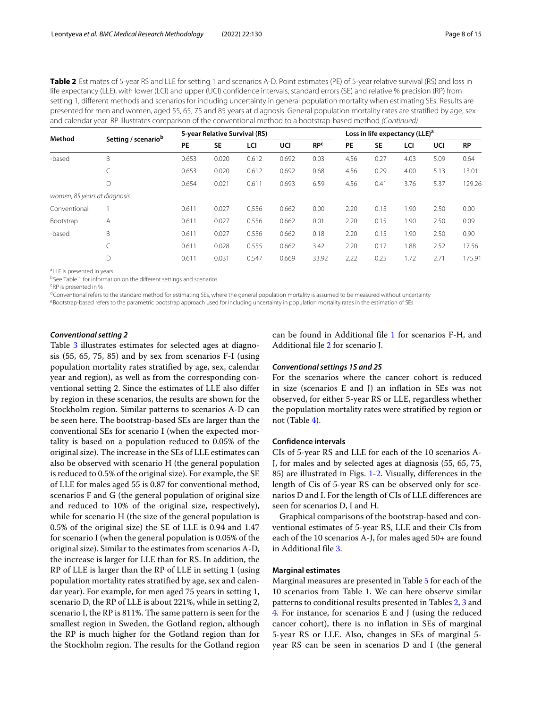Table 2 Estimates of 5-year RS and LLE for setting 1 and scenarios A-D. Point estimates (PE) of 5-year relative survival (RS) and loss in life expectancy (LLE), with lower (LCI) and upper (UCI) confidence intervals, standard errors (SE) and relative % precision (RP) from setting 1, different methods and scenarios for including uncertainty in general population mortality when estimating SEs. Results are presented for men and women, aged 55, 65, 75 and 85 years at diagnosis. General population mortality rates are stratified by age, sex and calendar year. RP illustrates comparison of the conventional method to a bootstrap-based method (Continued)

| Method                       |                     | 5-year Relative Survival (RS) |           |       |       |                       |      |           | Loss in life expectancy (LLE) <sup>a</sup> |      |           |  |  |  |  |
|------------------------------|---------------------|-------------------------------|-----------|-------|-------|-----------------------|------|-----------|--------------------------------------------|------|-----------|--|--|--|--|
|                              | Setting / scenariob | PE                            | <b>SE</b> | LCI   | UCI   | <b>RP<sup>c</sup></b> | PE   | <b>SE</b> | LCI                                        | UCI  | <b>RP</b> |  |  |  |  |
| -based                       | B                   | 0.653                         | 0.020     | 0.612 | 0.692 | 0.03                  | 4.56 | 0.27      | 4.03                                       | 5.09 | 0.64      |  |  |  |  |
|                              | C                   | 0.653                         | 0.020     | 0.612 | 0.692 | 0.68                  | 4.56 | 0.29      | 4.00                                       | 5.13 | 13.01     |  |  |  |  |
|                              | D                   | 0.654                         | 0.021     | 0.611 | 0.693 | 6.59                  | 4.56 | 0.41      | 3.76                                       | 5.37 | 129.26    |  |  |  |  |
| women, 85 years at diagnosis |                     |                               |           |       |       |                       |      |           |                                            |      |           |  |  |  |  |
| Conventional                 |                     | 0.611                         | 0.027     | 0.556 | 0.662 | 0.00                  | 2.20 | 0.15      | 1.90                                       | 2.50 | 0.00      |  |  |  |  |
| Bootstrap                    | A                   | 0.611                         | 0.027     | 0.556 | 0.662 | 0.01                  | 2.20 | 0.15      | i.90                                       | 2.50 | 0.09      |  |  |  |  |
| -based                       | B                   | 0.611                         | 0.027     | 0.556 | 0.662 | 0.18                  | 2.20 | 0.15      | 1.90                                       | 2.50 | 0.90      |  |  |  |  |
|                              | C                   | 0.611                         | 0.028     | 0.555 | 0.662 | 3.42                  | 2.20 | 0.17      | 1.88                                       | 2.52 | 17.56     |  |  |  |  |
|                              | D                   | 0.611                         | 0.031     | 0.547 | 0.669 | 33.92                 | 2.22 | 0.25      | 1.72                                       | 2.71 | 175.91    |  |  |  |  |

aLLE is presented in years

bSee Table [1](#page-5-0) for information on the different settings and scenarios

cRP is presented in %

 $d$ Conventional refers to the standard method for estimating SEs, where the general population mortality is assumed to be measured without uncertainty

eBootstrap-based refers to the parametric bootstrap approach used for including uncertainty in population mortality rates in the estimation of SEs

# *Conventional setting 2*

Table [3](#page-8-0) illustrates estimates for selected ages at diagnosis (55, 65, 75, 85) and by sex from scenarios F-I (using population mortality rates stratified by age, sex, calendar year and region), as well as from the corresponding conventional setting 2. Since the estimates of LLE also differ by region in these scenarios, the results are shown for the Stockholm region. Similar patterns to scenarios A-D can be seen here. The bootstrap-based SEs are larger than the conventional SEs for scenario I (when the expected mortality is based on a population reduced to 0.05% of the original size). The increase in the SEs of LLE estimates can also be observed with scenario H (the general population is reduced to 0.5% of the original size). For example, the SE of LLE for males aged 55 is 0.87 for conventional method, scenarios F and G (the general population of original size and reduced to 10% of the original size, respectively), while for scenario H (the size of the general population is 0.5% of the original size) the SE of LLE is 0.94 and 1.47 for scenario I (when the general population is 0.05% of the original size). Similar to the estimates from scenarios A-D, the increase is larger for LLE than for RS. In addition, the RP of LLE is larger than the RP of LLE in setting 1 (using population mortality rates stratified by age, sex and calendar year). For example, for men aged 75 years in setting 1, scenario D, the RP of LLE is about 221%, while in setting 2, scenario I, the RP is 811%. The same pattern is seen for the smallest region in Sweden, the Gotland region, although the RP is much higher for the Gotland region than for the Stockholm region. The results for the Gotland region can be found in Additional file [1](#page-13-7) for scenarios F-H, and Additional file [2](#page-13-8) for scenario J.

# *Conventional settings 1S and 2S*

For the scenarios where the cancer cohort is reduced in size (scenarios E and J) an inflation in SEs was not observed, for either 5-year RS or LLE, regardless whether the population mortality rates were stratified by region or not (Table [4\)](#page-10-0).

# **Confidence intervals**

CIs of 5-year RS and LLE for each of the 10 scenarios A-J, for males and by selected ages at diagnosis (55, 65, 75, 85) are illustrated in Figs. [1-](#page-11-0)[2.](#page-12-0) Visually, differences in the length of Cis of 5-year RS can be observed only for scenarios D and I. For the length of CIs of LLE differences are seen for scenarios D, I and H.

Graphical comparisons of the bootstrap-based and conventional estimates of 5-year RS, LLE and their CIs from each of the 10 scenarios A-J, for males aged 50+ are found in Additional file [3.](#page-13-9)

# **Marginal estimates**

Marginal measures are presented in Table [5](#page-12-1) for each of the 10 scenarios from Table [1.](#page-5-0) We can here observe similar patterns to conditional results presented in Tables [2,](#page-6-0) [3](#page-8-0) and [4.](#page-10-0) For instance, for scenarios E and J (using the reduced cancer cohort), there is no inflation in SEs of marginal 5-year RS or LLE. Also, changes in SEs of marginal 5 year RS can be seen in scenarios D and I (the general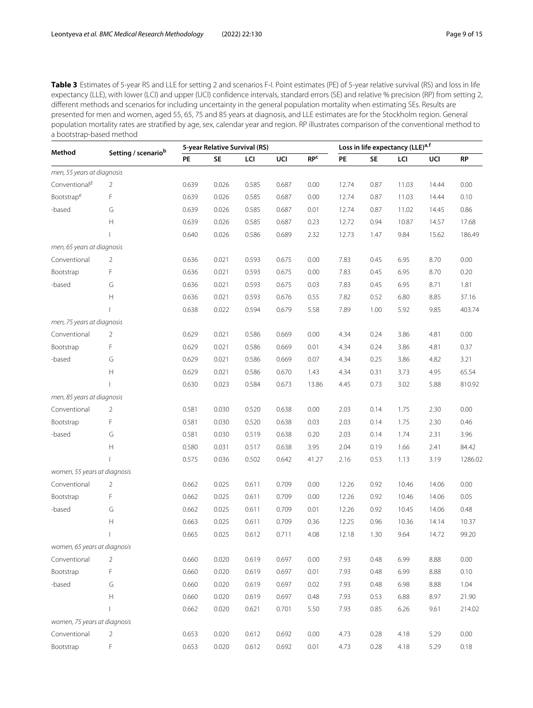<span id="page-8-0"></span>Table 3 Estimates of 5-year RS and LLE for setting 2 and scenarios F-I. Point estimates (PE) of 5-year relative survival (RS) and loss in life expectancy (LLE), with lower (LCI) and upper (UCI) confidence intervals, standard errors (SE) and relative % precision (RP) from setting 2, different methods and scenarios for including uncertainty in the general population mortality when estimating SEs. Results are presented for men and women, aged 55, 65, 75 and 85 years at diagnosis, and LLE estimates are for the Stockholm region. General population mortality rates are stratified by age, sex, calendar year and region. RP illustrates comparison of the conventional method to a bootstrap-based method

| Method                       | Setting / scenariob                                           |       |           | 5-year Relative Survival (RS) |       | Loss in life expectancy (LLE) <sup>a, f</sup> |       |      |       |       |           |
|------------------------------|---------------------------------------------------------------|-------|-----------|-------------------------------|-------|-----------------------------------------------|-------|------|-------|-------|-----------|
|                              |                                                               | PE    | <b>SE</b> | LCI                           | UCI   | <b>RPC</b>                                    | PE    | SE   | LCI   | UCI   | <b>RP</b> |
| men, 55 years at diagnosis   |                                                               |       |           |                               |       |                                               |       |      |       |       |           |
| Conventional <sup>d</sup>    | 2                                                             | 0.639 | 0.026     | 0.585                         | 0.687 | 0.00                                          | 12.74 | 0.87 | 11.03 | 14.44 | 0.00      |
| Bootstrape                   | F                                                             | 0.639 | 0.026     | 0.585                         | 0.687 | 0.00                                          | 12.74 | 0.87 | 11.03 | 14.44 | 0.10      |
| -based                       | G                                                             | 0.639 | 0.026     | 0.585                         | 0.687 | 0.01                                          | 12.74 | 0.87 | 11.02 | 14.45 | 0.86      |
|                              | Н                                                             | 0.639 | 0.026     | 0.585                         | 0.687 | 0.23                                          | 12.72 | 0.94 | 10.87 | 14.57 | 17.68     |
|                              |                                                               | 0.640 | 0.026     | 0.586                         | 0.689 | 2.32                                          | 12.73 | 1.47 | 9.84  | 15.62 | 186.49    |
| men, 65 years at diagnosis   |                                                               |       |           |                               |       |                                               |       |      |       |       |           |
| Conventional                 | 2                                                             | 0.636 | 0.021     | 0.593                         | 0.675 | 0.00                                          | 7.83  | 0.45 | 6.95  | 8.70  | 0.00      |
| Bootstrap                    | F                                                             | 0.636 | 0.021     | 0.593                         | 0.675 | 0.00                                          | 7.83  | 0.45 | 6.95  | 8.70  | 0.20      |
| -based                       | G                                                             | 0.636 | 0.021     | 0.593                         | 0.675 | 0.03                                          | 7.83  | 0.45 | 6.95  | 8.71  | 1.81      |
|                              | $\mathsf{H}% _{\mathbb{R}}^{1}\!\left( \mathbb{R}^{2}\right)$ | 0.636 | 0.021     | 0.593                         | 0.676 | 0.55                                          | 7.82  | 0.52 | 6.80  | 8.85  | 37.16     |
|                              |                                                               | 0.638 | 0.022     | 0.594                         | 0.679 | 5.58                                          | 7.89  | 1.00 | 5.92  | 9.85  | 403.74    |
| men, 75 years at diagnosis   |                                                               |       |           |                               |       |                                               |       |      |       |       |           |
| Conventional                 | 2                                                             | 0.629 | 0.021     | 0.586                         | 0.669 | 0.00                                          | 4.34  | 0.24 | 3.86  | 4.81  | 0.00      |
| Bootstrap                    | F                                                             | 0.629 | 0.021     | 0.586                         | 0.669 | 0.01                                          | 4.34  | 0.24 | 3.86  | 4.81  | 0.37      |
| -based                       | G                                                             | 0.629 | 0.021     | 0.586                         | 0.669 | 0.07                                          | 4.34  | 0.25 | 3.86  | 4.82  | 3.21      |
|                              | $\boldsymbol{\mathsf{H}}$                                     | 0.629 | 0.021     | 0.586                         | 0.670 | 1.43                                          | 4.34  | 0.31 | 3.73  | 4.95  | 65.54     |
|                              |                                                               | 0.630 | 0.023     | 0.584                         | 0.673 | 13.86                                         | 4.45  | 0.73 | 3.02  | 5.88  | 810.92    |
| men, 85 years at diagnosis   |                                                               |       |           |                               |       |                                               |       |      |       |       |           |
| Conventional                 | 2                                                             | 0.581 | 0.030     | 0.520                         | 0.638 | 0.00                                          | 2.03  | 0.14 | 1.75  | 2.30  | 0.00      |
| Bootstrap                    | F                                                             | 0.581 | 0.030     | 0.520                         | 0.638 | 0.03                                          | 2.03  | 0.14 | 1.75  | 2.30  | 0.46      |
| -based                       | G                                                             | 0.581 | 0.030     | 0.519                         | 0.638 | 0.20                                          | 2.03  | 0.14 | 1.74  | 2.31  | 3.96      |
|                              | Н                                                             | 0.580 | 0.031     | 0.517                         | 0.638 | 3.95                                          | 2.04  | 0.19 | 1.66  | 2.41  | 84.42     |
|                              |                                                               | 0.575 | 0.036     | 0.502                         | 0.642 | 41.27                                         | 2.16  | 0.53 | 1.13  | 3.19  | 1286.02   |
| women, 55 years at diagnosis |                                                               |       |           |                               |       |                                               |       |      |       |       |           |
| Conventional                 | $\overline{2}$                                                | 0.662 | 0.025     | 0.611                         | 0.709 | 0.00                                          | 12.26 | 0.92 | 10.46 | 14.06 | 0.00      |
| Bootstrap                    | F                                                             | 0.662 | 0.025     | 0.611                         | 0.709 | 0.00                                          | 12.26 | 0.92 | 10.46 | 14.06 | 0.05      |
| -based                       | G                                                             | 0.662 | 0.025     | 0.611                         | 0.709 | 0.01                                          | 12.26 | 0.92 | 10.45 | 14.06 | 0.48      |
|                              | Н                                                             | 0.663 | 0.025     | 0.611                         | 0.709 | 0.36                                          | 12.25 | 0.96 | 10.36 | 14.14 | 10.37     |
|                              |                                                               | 0.665 | 0.025     | 0.612                         | 0.711 | 4.08                                          | 12.18 | 1.30 | 9.64  | 14.72 | 99.20     |
| women, 65 years at diagnosis |                                                               |       |           |                               |       |                                               |       |      |       |       |           |
| Conventional                 | 2                                                             | 0.660 | 0.020     | 0.619                         | 0.697 | 0.00                                          | 7.93  | 0.48 | 6.99  | 8.88  | 0.00      |
| Bootstrap                    | F                                                             | 0.660 | 0.020     | 0.619                         | 0.697 | 0.01                                          | 7.93  | 0.48 | 6.99  | 8.88  | 0.10      |
| -based                       | G                                                             | 0.660 | 0.020     | 0.619                         | 0.697 | 0.02                                          | 7.93  | 0.48 | 6.98  | 8.88  | 1.04      |
|                              | Н                                                             | 0.660 | 0.020     | 0.619                         | 0.697 | 0.48                                          | 7.93  | 0.53 | 6.88  | 8.97  | 21.90     |
|                              |                                                               | 0.662 | 0.020     | 0.621                         | 0.701 | 5.50                                          | 7.93  | 0.85 | 6.26  | 9.61  | 214.02    |
| women, 75 years at diagnosis |                                                               |       |           |                               |       |                                               |       |      |       |       |           |
| Conventional                 | $\overline{2}$                                                | 0.653 | 0.020     | 0.612                         | 0.692 | 0.00                                          | 4.73  | 0.28 | 4.18  | 5.29  | 0.00      |
| Bootstrap                    | F                                                             | 0.653 | 0.020     | 0.612                         | 0.692 | 0.01                                          | 4.73  | 0.28 | 4.18  | 5.29  | 0.18      |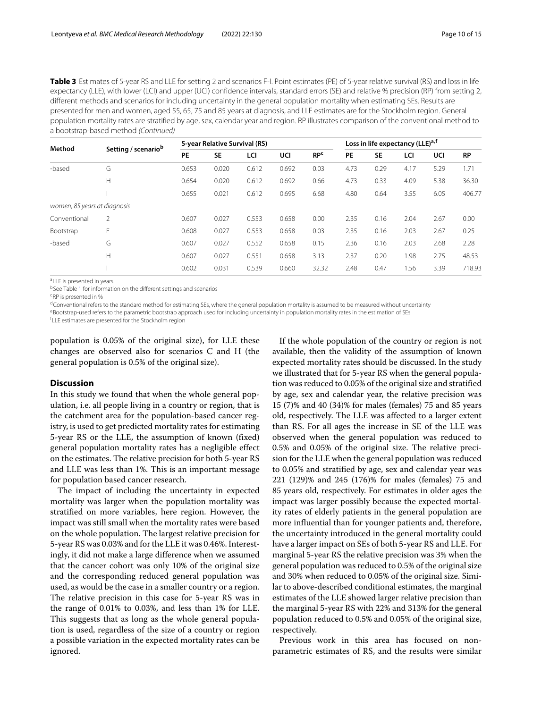Table 3 Estimates of 5-year RS and LLE for setting 2 and scenarios F-I. Point estimates (PE) of 5-year relative survival (RS) and loss in life expectancy (LLE), with lower (LCI) and upper (UCI) confidence intervals, standard errors (SE) and relative % precision (RP) from setting 2, different methods and scenarios for including uncertainty in the general population mortality when estimating SEs. Results are presented for men and women, aged 55, 65, 75 and 85 years at diagnosis, and LLE estimates are for the Stockholm region. General population mortality rates are stratified by age, sex, calendar year and region. RP illustrates comparison of the conventional method to a bootstrap-based method (Continued)

| Method                       |                                 | 5-year Relative Survival (RS) |           |       |            |                       |      |           | Loss in life expectancy (LLE) <sup>a, f</sup> |      |           |  |  |
|------------------------------|---------------------------------|-------------------------------|-----------|-------|------------|-----------------------|------|-----------|-----------------------------------------------|------|-----------|--|--|
|                              | Setting / scenario <sup>b</sup> | PE                            | <b>SE</b> | LCI   | <b>UCI</b> | <b>RP<sup>c</sup></b> | PE   | <b>SE</b> | LCI                                           | UCI  | <b>RP</b> |  |  |
| -based                       | G                               | 0.653                         | 0.020     | 0.612 | 0.692      | 0.03                  | 4.73 | 0.29      | 4.17                                          | 5.29 | 1.71      |  |  |
|                              | Н                               | 0.654                         | 0.020     | 0.612 | 0.692      | 0.66                  | 4.73 | 0.33      | 4.09                                          | 5.38 | 36.30     |  |  |
|                              |                                 | 0.655                         | 0.021     | 0.612 | 0.695      | 6.68                  | 4.80 | 0.64      | 3.55                                          | 6.05 | 406.77    |  |  |
| women, 85 years at diagnosis |                                 |                               |           |       |            |                       |      |           |                                               |      |           |  |  |
| Conventional                 | 2                               | 0.607                         | 0.027     | 0.553 | 0.658      | 0.00                  | 2.35 | 0.16      | 2.04                                          | 2.67 | 0.00      |  |  |
| Bootstrap                    | F                               | 0.608                         | 0.027     | 0.553 | 0.658      | 0.03                  | 2.35 | 0.16      | 2.03                                          | 2.67 | 0.25      |  |  |
| -based                       | G                               | 0.607                         | 0.027     | 0.552 | 0.658      | 0.15                  | 2.36 | 0.16      | 2.03                                          | 2.68 | 2.28      |  |  |
|                              | Н                               | 0.607                         | 0.027     | 0.551 | 0.658      | 3.13                  | 2.37 | 0.20      | 1.98                                          | 2.75 | 48.53     |  |  |
|                              |                                 | 0.602                         | 0.031     | 0.539 | 0.660      | 32.32                 | 2.48 | 0.47      | i.56                                          | 3.39 | 718.93    |  |  |

aLLE is presented in years

bSee Table [1](#page-5-0) for information on the different settings and scenarios

cRP is presented in %

 $d$ Conventional refers to the standard method for estimating SEs, where the general population mortality is assumed to be measured without uncertainty

eBootstrap-used refers to the parametric bootstrap approach used for including uncertainty in population mortality rates in the estimation of SEs

f LLE estimates are presented for the Stockholm region

population is 0.05% of the original size), for LLE these changes are observed also for scenarios C and H (the general population is 0.5% of the original size).

# **Discussion**

In this study we found that when the whole general population, i.e. all people living in a country or region, that is the catchment area for the population-based cancer registry, is used to get predicted mortality rates for estimating 5-year RS or the LLE, the assumption of known (fixed) general population mortality rates has a negligible effect on the estimates. The relative precision for both 5-year RS and LLE was less than 1%. This is an important message for population based cancer research.

The impact of including the uncertainty in expected mortality was larger when the population mortality was stratified on more variables, here region. However, the impact was still small when the mortality rates were based on the whole population. The largest relative precision for 5-year RS was 0.03% and for the LLE it was 0.46%. Interestingly, it did not make a large difference when we assumed that the cancer cohort was only 10% of the original size and the corresponding reduced general population was used, as would be the case in a smaller country or a region. The relative precision in this case for 5-year RS was in the range of 0.01% to 0.03%, and less than 1% for LLE. This suggests that as long as the whole general population is used, regardless of the size of a country or region a possible variation in the expected mortality rates can be ignored.

If the whole population of the country or region is not available, then the validity of the assumption of known expected mortality rates should be discussed. In the study we illustrated that for 5-year RS when the general population was reduced to 0.05% of the original size and stratified by age, sex and calendar year, the relative precision was 15 (7)% and 40 (34)% for males (females) 75 and 85 years old, respectively. The LLE was affected to a larger extent than RS. For all ages the increase in SE of the LLE was observed when the general population was reduced to 0.5% and 0.05% of the original size. The relative precision for the LLE when the general population was reduced to 0.05% and stratified by age, sex and calendar year was 221 (129)% and 245 (176)% for males (females) 75 and 85 years old, respectively. For estimates in older ages the impact was larger possibly because the expected mortality rates of elderly patients in the general population are more influential than for younger patients and, therefore, the uncertainty introduced in the general mortality could have a larger impact on SEs of both 5-year RS and LLE. For marginal 5-year RS the relative precision was 3% when the general population was reduced to 0.5% of the original size and 30% when reduced to 0.05% of the original size. Similar to above-described conditional estimates, the marginal estimates of the LLE showed larger relative precision than the marginal 5-year RS with 22% and 313% for the general population reduced to 0.5% and 0.05% of the original size, respectively.

Previous work in this area has focused on nonparametric estimates of RS, and the results were similar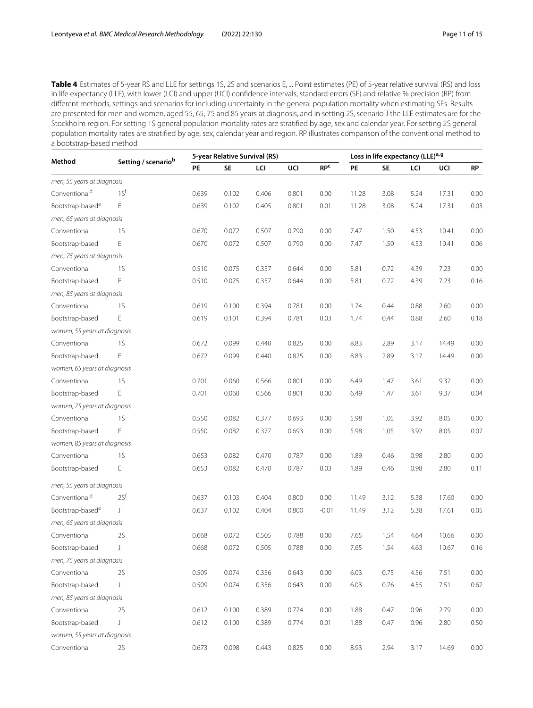<span id="page-10-0"></span>Table 4 Estimates of 5-year RS and LLE for settings 1S, 2S and scenarios E, J. Point estimates (PE) of 5-year relative survival (RS) and loss in life expectancy (LLE), with lower (LCI) and upper (UCI) confidence intervals, standard errors (SE) and relative % precision (RP) from different methods, settings and scenarios for including uncertainty in the general population mortality when estimating SEs. Results are presented for men and women, aged 55, 65, 75 and 85 years at diagnosis, and in setting 2S, scenario J the LLE estimates are for the Stockholm region. For setting 1S general population mortality rates are stratified by age, sex and calendar year. For setting 2S general population mortality rates are stratified by age, sex, calendar year and region. RP illustrates comparison of the conventional method to a bootstrap-based method

|                              | Setting / scenariob |       |           | 5-year Relative Survival (RS) |       | Loss in life expectancy (LLE)a, 9 |           |      |      |       |      |
|------------------------------|---------------------|-------|-----------|-------------------------------|-------|-----------------------------------|-----------|------|------|-------|------|
| Method                       |                     | PE    | <b>SE</b> | LCI                           | UCI   | <b>RPC</b>                        | <b>PE</b> | SE   | LCI  | UCI   | RP   |
| men, 55 years at diagnosis   |                     |       |           |                               |       |                                   |           |      |      |       |      |
| Conventional <sup>d</sup>    | 1S <sup>f</sup>     | 0.639 | 0.102     | 0.406                         | 0.801 | 0.00                              | 11.28     | 3.08 | 5.24 | 17.31 | 0.00 |
| Bootstrap-based <sup>e</sup> | Ε                   | 0.639 | 0.102     | 0.405                         | 0.801 | 0.01                              | 11.28     | 3.08 | 5.24 | 17.31 | 0.03 |
| men, 65 years at diagnosis   |                     |       |           |                               |       |                                   |           |      |      |       |      |
| Conventional                 | <b>1S</b>           | 0.670 | 0.072     | 0.507                         | 0.790 | 0.00                              | 7.47      | 1.50 | 4.53 | 10.41 | 0.00 |
| Bootstrap-based              | Ε                   | 0.670 | 0.072     | 0.507                         | 0.790 | 0.00                              | 7.47      | 1.50 | 4.53 | 10.41 | 0.06 |
| men, 75 years at diagnosis   |                     |       |           |                               |       |                                   |           |      |      |       |      |
| Conventional                 | <b>1S</b>           | 0.510 | 0.075     | 0.357                         | 0.644 | 0.00                              | 5.81      | 0.72 | 4.39 | 7.23  | 0.00 |
| Bootstrap-based              | Ε                   | 0.510 | 0.075     | 0.357                         | 0.644 | 0.00                              | 5.81      | 0.72 | 4.39 | 7.23  | 0.16 |
| men, 85 years at diagnosis   |                     |       |           |                               |       |                                   |           |      |      |       |      |
| Conventional                 | 1S                  | 0.619 | 0.100     | 0.394                         | 0.781 | 0.00                              | 1.74      | 0.44 | 0.88 | 2.60  | 0.00 |
| Bootstrap-based              | Е                   | 0.619 | 0.101     | 0.394                         | 0.781 | 0.03                              | 1.74      | 0.44 | 0.88 | 2.60  | 0.18 |
| women, 55 years at diagnosis |                     |       |           |                               |       |                                   |           |      |      |       |      |
| Conventional                 | 1S                  | 0.672 | 0.099     | 0.440                         | 0.825 | 0.00                              | 8.83      | 2.89 | 3.17 | 14.49 | 0.00 |
| Bootstrap-based              | Ε                   | 0.672 | 0.099     | 0.440                         | 0.825 | 0.00                              | 8.83      | 2.89 | 3.17 | 14.49 | 0.00 |
| women, 65 years at diagnosis |                     |       |           |                               |       |                                   |           |      |      |       |      |
| Conventional                 | 1S                  | 0.701 | 0.060     | 0.566                         | 0.801 | 0.00                              | 6.49      | 1.47 | 3.61 | 9.37  | 0.00 |
| Bootstrap-based              | Е                   | 0.701 | 0.060     | 0.566                         | 0.801 | 0.00                              | 6.49      | 1.47 | 3.61 | 9.37  | 0.04 |
| women, 75 years at diagnosis |                     |       |           |                               |       |                                   |           |      |      |       |      |
| Conventional                 | <b>1S</b>           | 0.550 | 0.082     | 0.377                         | 0.693 | 0.00                              | 5.98      | 1.05 | 3.92 | 8.05  | 0.00 |
| Bootstrap-based              | Ε                   | 0.550 | 0.082     | 0.377                         | 0.693 | 0.00                              | 5.98      | 1.05 | 3.92 | 8.05  | 0.07 |
| women, 85 years at diagnosis |                     |       |           |                               |       |                                   |           |      |      |       |      |
| Conventional                 | 1S                  | 0.653 | 0.082     | 0.470                         | 0.787 | 0.00                              | 1.89      | 0.46 | 0.98 | 2.80  | 0.00 |
| Bootstrap-based              | Ε                   | 0.653 | 0.082     | 0.470                         | 0.787 | 0.03                              | 1.89      | 0.46 | 0.98 | 2.80  | 0.11 |
| men, 55 years at diagnosis   |                     |       |           |                               |       |                                   |           |      |      |       |      |
| Conventional <sup>d</sup>    | 2S <sup>f</sup>     | 0.637 | 0.103     | 0.404                         | 0.800 | 0.00                              | 11.49     | 3.12 | 5.38 | 17.60 | 0.00 |
| Bootstrap-based <sup>e</sup> | J.                  | 0.637 | 0.102     | 0.404                         | 0.800 | $-0.01$                           | 11.49     | 3.12 | 5.38 | 17.61 | 0.05 |
| men, 65 years at diagnosis   |                     |       |           |                               |       |                                   |           |      |      |       |      |
| Conventional                 | 2S                  | 0.668 | 0.072     | 0.505                         | 0.788 | 0.00                              | 7.65      | 1.54 | 4.64 | 10.66 | 0.00 |
| Bootstrap-based              | J                   | 0.668 | 0.072     | 0.505                         | 0.788 | 0.00                              | 7.65      | 1.54 | 4.63 | 10.67 | 0.16 |
| men, 75 years at diagnosis   |                     |       |           |                               |       |                                   |           |      |      |       |      |
| Conventional                 | 2S                  | 0.509 | 0.074     | 0.356                         | 0.643 | 0.00                              | 6.03      | 0.75 | 4.56 | 7.51  | 0.00 |
| Bootstrap-based              | J                   | 0.509 | 0.074     | 0.356                         | 0.643 | 0.00                              | 6.03      | 0.76 | 4.55 | 7.51  | 0.62 |
| men, 85 years at diagnosis   |                     |       |           |                               |       |                                   |           |      |      |       |      |
| Conventional                 | 2S                  | 0.612 | 0.100     | 0.389                         | 0.774 | 0.00                              | 1.88      | 0.47 | 0.96 | 2.79  | 0.00 |
| Bootstrap-based              | J                   | 0.612 | 0.100     | 0.389                         | 0.774 | 0.01                              | 1.88      | 0.47 | 0.96 | 2.80  | 0.50 |
| women, 55 years at diagnosis |                     |       |           |                               |       |                                   |           |      |      |       |      |
| Conventional                 | 2S                  | 0.673 | 0.098     | 0.443                         | 0.825 | 0.00                              | 8.93      | 2.94 | 3.17 | 14.69 | 0.00 |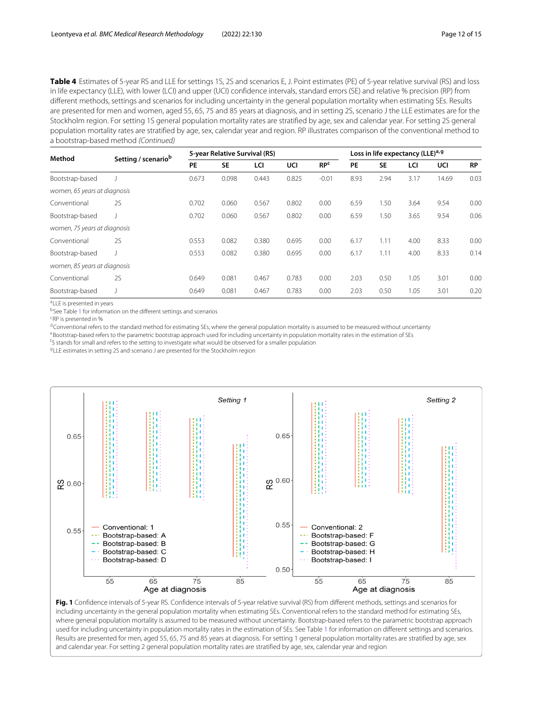Table 4 Estimates of 5-year RS and LLE for settings 1S, 2S and scenarios E, J. Point estimates (PE) of 5-year relative survival (RS) and loss in life expectancy (LLE), with lower (LCI) and upper (UCI) confidence intervals, standard errors (SE) and relative % precision (RP) from different methods, settings and scenarios for including uncertainty in the general population mortality when estimating SEs. Results are presented for men and women, aged 55, 65, 75 and 85 years at diagnosis, and in setting 2S, scenario J the LLE estimates are for the Stockholm region. For setting 1S general population mortality rates are stratified by age, sex and calendar year. For setting 2S general population mortality rates are stratified by age, sex, calendar year and region. RP illustrates comparison of the conventional method to a bootstrap-based method (Continued)

| Method                       | Setting / scenariob |       | 5-year Relative Survival (RS) |       |       | Loss in life expectancy (LLE) <sup>a, g</sup> |      |           |      |       |           |
|------------------------------|---------------------|-------|-------------------------------|-------|-------|-----------------------------------------------|------|-----------|------|-------|-----------|
|                              |                     | PE    | <b>SE</b>                     | LCI   | UCI   | RP <sup>c</sup>                               | PE   | <b>SE</b> | LCI  | UCI   | <b>RP</b> |
| Bootstrap-based              |                     | 0.673 | 0.098                         | 0.443 | 0.825 | $-0.01$                                       | 8.93 | 2.94      | 3.17 | 14.69 | 0.03      |
| women, 65 years at diagnosis |                     |       |                               |       |       |                                               |      |           |      |       |           |
| Conventional                 | <b>2S</b>           | 0.702 | 0.060                         | 0.567 | 0.802 | 0.00                                          | 6.59 | 1.50      | 3.64 | 9.54  | 0.00      |
| Bootstrap-based              |                     | 0.702 | 0.060                         | 0.567 | 0.802 | 0.00                                          | 6.59 | 1.50      | 3.65 | 9.54  | 0.06      |
| women, 75 years at diagnosis |                     |       |                               |       |       |                                               |      |           |      |       |           |
| Conventional                 | <b>2S</b>           | 0.553 | 0.082                         | 0.380 | 0.695 | 0.00                                          | 6.17 | 1.11      | 4.00 | 8.33  | 0.00      |
| Bootstrap-based              |                     | 0.553 | 0.082                         | 0.380 | 0.695 | 0.00                                          | 6.17 | 1.11      | 4.00 | 8.33  | 0.14      |
| women, 85 years at diagnosis |                     |       |                               |       |       |                                               |      |           |      |       |           |
| Conventional                 | <b>2S</b>           | 0.649 | 0.081                         | 0.467 | 0.783 | 0.00                                          | 2.03 | 0.50      | 1.05 | 3.01  | 0.00      |
| Bootstrap-based              |                     | 0.649 | 0.081                         | 0.467 | 0.783 | 0.00                                          | 2.03 | 0.50      | 1.05 | 3.01  | 0.20      |

aLLE is presented in years

bSee Table [1](#page-5-0) for information on the different settings and scenarios

cRP is presented in %

 $d$ Conventional refers to the standard method for estimating SEs, where the general population mortality is assumed to be measured without uncertainty

eBootstrap-based refers to the parametric bootstrap approach used for including uncertainty in population mortality rates in the estimation of SEs

f S stands for small and refers to the setting to investigate what would be observed for a smaller population

gLLE estimates in setting 2S and scenario J are presented for the Stockholm region



<span id="page-11-0"></span>Fig. 1 Confidence intervals of 5-year RS. Confidence intervals of 5-year relative survival (RS) from different methods, settings and scenarios for including uncertainty in the general population mortality when estimating SEs. Conventional refers to the standard method for estimating SEs, where general population mortality is assumed to be measured without uncertainty. Bootstrap-based refers to the parametric bootstrap approach used for including uncertainty in population mortality rates in the estimation of SEs. See Table [1](#page-5-0) for information on different settings and scenarios. Results are presented for men, aged 55, 65, 75 and 85 years at diagnosis. For setting 1 general population mortality rates are stratified by age, sex and calendar year. For setting 2 general population mortality rates are stratified by age, sex, calendar year and region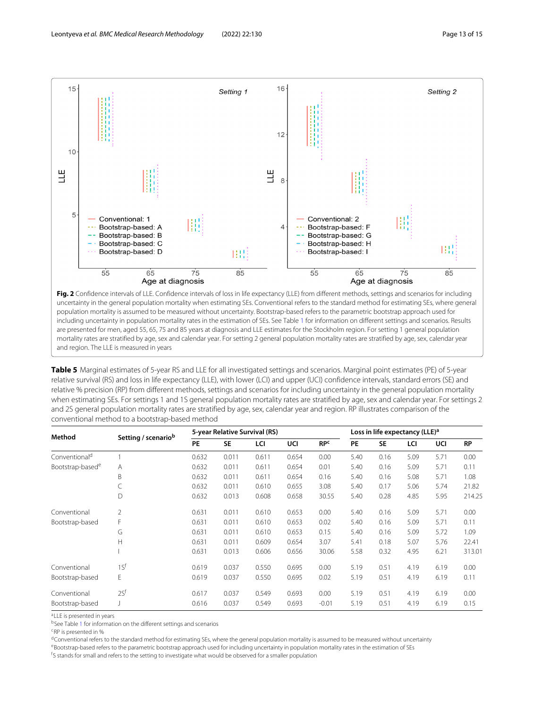

<span id="page-12-0"></span>Fig. 2 Confidence intervals of LLE. Confidence intervals of loss in life expectancy (LLE) from different methods, settings and scenarios for including uncertainty in the general population mortality when estimating SEs. Conventional refers to the standard method for estimating SEs, where general population mortality is assumed to be measured without uncertainty. Bootstrap-based refers to the parametric bootstrap approach used for including uncertainty in population mortality rates in the estimation of SEs. See Table [1](#page-5-0) for information on different settings and scenarios. Results are presented for men, aged 55, 65, 75 and 85 years at diagnosis and LLE estimates for the Stockholm region. For setting 1 general population mortality rates are stratified by age, sex and calendar year. For setting 2 general population mortality rates are stratified by age, sex, calendar year and region. The LLE is measured in years

<span id="page-12-1"></span>**Table 5** Marginal estimates of 5-year RS and LLE for all investigated settings and scenarios. Marginal point estimates (PE) of 5-year relative survival (RS) and loss in life expectancy (LLE), with lower (LCI) and upper (UCI) confidence intervals, standard errors (SE) and relative % precision (RP) from different methods, settings and scenarios for including uncertainty in the general population mortality when estimating SEs. For settings 1 and 1S general population mortality rates are stratified by age, sex and calendar year. For settings 2 and 2S general population mortality rates are stratified by age, sex, calendar year and region. RP illustrates comparison of the conventional method to a bootstrap-based method

| Method                       |                     |       |           | 5-year Relative Survival (RS) |       | Loss in life expectancy (LLE) <sup>a</sup> |      |           |      |      |           |
|------------------------------|---------------------|-------|-----------|-------------------------------|-------|--------------------------------------------|------|-----------|------|------|-----------|
|                              | Setting / scenariob | PE    | <b>SE</b> | LCI                           | UCI   | RP <sup>c</sup>                            | PE   | <b>SE</b> | LCI  | UCI  | <b>RP</b> |
| Conventional <sup>d</sup>    |                     | 0.632 | 0.011     | 0.611                         | 0.654 | 0.00                                       | 5.40 | 0.16      | 5.09 | 5.71 | 0.00      |
| Bootstrap-based <sup>e</sup> | A                   | 0.632 | 0.011     | 0.611                         | 0.654 | 0.01                                       | 5.40 | 0.16      | 5.09 | 5.71 | 0.11      |
|                              | B                   | 0.632 | 0.011     | 0.611                         | 0.654 | 0.16                                       | 5.40 | 0.16      | 5.08 | 5.71 | 1.08      |
|                              |                     | 0.632 | 0.011     | 0.610                         | 0.655 | 3.08                                       | 5.40 | 0.17      | 5.06 | 5.74 | 21.82     |
|                              | D                   | 0.632 | 0.013     | 0.608                         | 0.658 | 30.55                                      | 5.40 | 0.28      | 4.85 | 5.95 | 214.25    |
| Conventional                 | $\overline{2}$      | 0.631 | 0.011     | 0.610                         | 0.653 | 0.00                                       | 5.40 | 0.16      | 5.09 | 5.71 | 0.00      |
| Bootstrap-based              | F                   | 0.631 | 0.011     | 0.610                         | 0.653 | 0.02                                       | 5.40 | 0.16      | 5.09 | 5.71 | 0.11      |
|                              | G                   | 0.631 | 0.011     | 0.610                         | 0.653 | 0.15                                       | 5.40 | 0.16      | 5.09 | 5.72 | 1.09      |
|                              | H                   | 0.631 | 0.011     | 0.609                         | 0.654 | 3.07                                       | 5.41 | 0.18      | 5.07 | 5.76 | 22.41     |
|                              |                     | 0.631 | 0.013     | 0.606                         | 0.656 | 30.06                                      | 5.58 | 0.32      | 4.95 | 6.21 | 313.01    |
| Conventional                 | 1S <sup>f</sup>     | 0.619 | 0.037     | 0.550                         | 0.695 | 0.00                                       | 5.19 | 0.51      | 4.19 | 6.19 | 0.00      |
| Bootstrap-based              | E                   | 0.619 | 0.037     | 0.550                         | 0.695 | 0.02                                       | 5.19 | 0.51      | 4.19 | 6.19 | 0.11      |
| Conventional                 | 2S <sup>f</sup>     | 0.617 | 0.037     | 0.549                         | 0.693 | 0.00                                       | 5.19 | 0.51      | 4.19 | 6.19 | 0.00      |
| Bootstrap-based              |                     | 0.616 | 0.037     | 0.549                         | 0.693 | $-0.01$                                    | 5.19 | 0.51      | 4.19 | 6.19 | 0.15      |

aLLE is presented in years

bSee Table [1](#page-5-0) for information on the different settings and scenarios

cRP is presented in %

<sup>d</sup>Conventional refers to the standard method for estimating SEs, where the general population mortality is assumed to be measured without uncertainty

eBootstrap-based refers to the parametric bootstrap approach used for including uncertainty in population mortality rates in the estimation of SEs

<sup>f</sup>S stands for small and refers to the setting to investigate what would be observed for a smaller population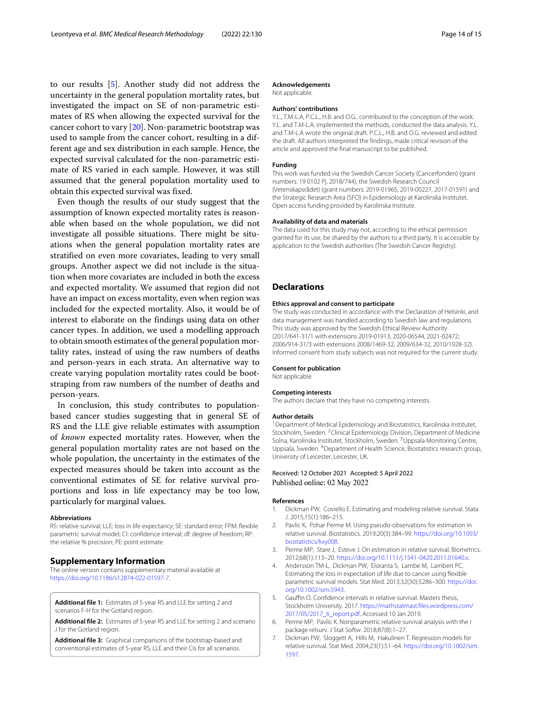to our results [\[5\]](#page-13-4). Another study did not address the uncertainty in the general population mortality rates, but investigated the impact on SE of non-parametric estimates of RS when allowing the expected survival for the cancer cohort to vary [\[20\]](#page-14-12). Non-parametric bootstrap was used to sample from the cancer cohort, resulting in a different age and sex distribution in each sample. Hence, the expected survival calculated for the non-parametric estimate of RS varied in each sample. However, it was still assumed that the general population mortality used to obtain this expected survival was fixed.

Even though the results of our study suggest that the assumption of known expected mortality rates is reasonable when based on the whole population, we did not investigate all possible situations. There might be situations when the general population mortality rates are stratified on even more covariates, leading to very small groups. Another aspect we did not include is the situation when more covariates are included in both the excess and expected mortality. We assumed that region did not have an impact on excess mortality, even when region was included for the expected mortality. Also, it would be of interest to elaborate on the findings using data on other cancer types. In addition, we used a modelling approach to obtain smooth estimates of the general population mortality rates, instead of using the raw numbers of deaths and person-years in each strata. An alternative way to create varying population mortality rates could be bootstraping from raw numbers of the number of deaths and person-years.

In conclusion, this study contributes to populationbased cancer studies suggesting that in general SE of RS and the LLE give reliable estimates with assumption of *known* expected mortality rates. However, when the general population mortality rates are not based on the whole population, the uncertainty in the estimates of the expected measures should be taken into account as the conventional estimates of SE for relative survival proportions and loss in life expectancy may be too low, particularly for marginal values.

#### **Abbreviations**

RS: relative survival; LLE: loss in life expectancy; SE: standard error; FPM: flexible parametric survival model; CI: confidence interval; df: degree of freedom; RP: the relative % precision; PE: point estimate

# **Supplementary Information**

The online version contains supplementary material available at [https://doi.org/10.1186/s12874-022-01597-7.](https://doi.org/10.1186/s12874-022-01597-7)

<span id="page-13-7"></span>**Additional file 1:** Estimates of 5-year RS and LLE for setting 2 and scenarios F-H for the Gotland region.

<span id="page-13-8"></span>**Additional file 2:** Estimates of 5-year RS and LLE for setting 2 and scenario J for the Gotland region.

<span id="page-13-9"></span>**Additional file 3:** Graphical comparisons of the bootstrap-based and conventional estimates of 5-year RS, LLE and their CIs for all scenarios.

Not applicable.

### **Authors' contributions**

Y.L., T.M-L.A, P.C.L., H.B. and O.G.. contributed to the conception of the work. Y.L. and T.M-L.A. implemented the methods, conducted the data analysis. Y.L. and T.M-L.A wrote the original draft. P.C.L., H.B. and O.G. reviewed and edited the draft. All authors interpreted the findings, made critical revision of the article and approved the final manuscript to be published.

# **Funding**

This work was funded via the Swedish Cancer Society (Cancerfonden) (grant numbers: 19 0102 Pj, 2018/744), the Swedish Research Council (Vetenskapsrådet) (grant numbers: 2019-01965, 2019-00227, 2017-01591) and the Strategic Research Area (SFO) in Epidemiology at Karolinska Institutet. Open access funding provided by Karolinska Institute.

#### **Availability of data and materials**

The data used for this study may not, according to the ethical permission granted for its use, be shared by the authors to a third party. It is accessible by application to the Swedish authorities (The Swedish Cancer Registry).

# **Declarations**

#### **Ethics approval and consent to participate**

The study was conducted in accordance with the Declaration of Helsinki, and data management was handled according to Swedish law and regulations. This study was approved by the Swedish Ethical Review Authority (2017/641-31/1 with extensions 2019-01913, 2020-06544, 2021-02472; 2006/914-31/3 with extensions 2008/1469-32, 2009/634-32, 2010/1928-32). Informed consent from study subjects was not required for the current study.

#### **Consent for publication**

Not applicable.

#### **Competing interests**

The authors declare that they have no competing interests.

#### **Author details**

<sup>1</sup> Department of Medical Epidemiology and Biostatistics, Karolinska Institutet, Stockholm, Sweden. <sup>2</sup>Clinical Epidemiology Division, Department of Medicine Solna, Karolinska Institutet, Stockholm, Sweden. <sup>3</sup>Uppsala Monitoring Centre, Uppsala, Sweden. 4Department of Health Science, Biostatistics research group, University of Leicester, Leicester, UK.

# Received: 12 October 2021 Accepted: 5 April 2022 Published online: 02 May 2022

# **References**

- <span id="page-13-0"></span>1. Dickman PW, Coviello E. Estimating and modeling relative survival. Stata J. 2015;15(1):186–215.
- <span id="page-13-1"></span>2. Pavlic K, Pohar Perme M. Using pseudo-observations for estimation in relative survival. Biostatistics. 2019;20(3):384–99. [https://doi.org/10.1093/](https://doi.org/10.1093/biostatistics/kxy008) [biostatistics/kxy008.](https://doi.org/10.1093/biostatistics/kxy008)
- <span id="page-13-2"></span>3. Perme MP, Stare J, Esteve J. On estimation in relative survival. Biometrics. 2012;68(1):113–20. [https://doi.org/10.1111/j.1541-0420.2011.01640.x.](https://doi.org/10.1111/j.1541-0420.2011.01640.x)
- <span id="page-13-3"></span>4. Andersson TM-L, Dickman PW, Eloranta S, Lambe M, Lambert PC. Estimating the loss in expectation of life due to cancer using flexible parametric survival models. Stat Med. 2013;32(30):5286–300. [https://doi.](https://doi.org/10.1002/sim.5943) [org/10.1002/sim.5943.](https://doi.org/10.1002/sim.5943)
- <span id="page-13-4"></span>5. Gauffin O. Confidence intervals in relative survival. Masters thesis, Stockholm University. 2017. [https://mathstatmast.files.wordpress.com/](https://mathstatmast.files.wordpress.com/2017/05/2017_6_report.pdf) [2017/05/2017\\_6\\_report.pdf.](https://mathstatmast.files.wordpress.com/2017/05/2017_6_report.pdf) Accessed 10 Jan 2019.
- <span id="page-13-5"></span>6. Perme MP, Pavlic K. Nonparametric relative survival analysis with the r package relsurv. J Stat Softw. 2018;87(8):1–27.
- <span id="page-13-6"></span>7. Dickman PW, Sloggett A, Hills M, Hakulinen T. Regression models for relative survival. Stat Med. 2004;23(1):51–64. [https://doi.org/10.1002/sim.](https://doi.org/10.1002/sim.1597) [1597.](https://doi.org/10.1002/sim.1597)